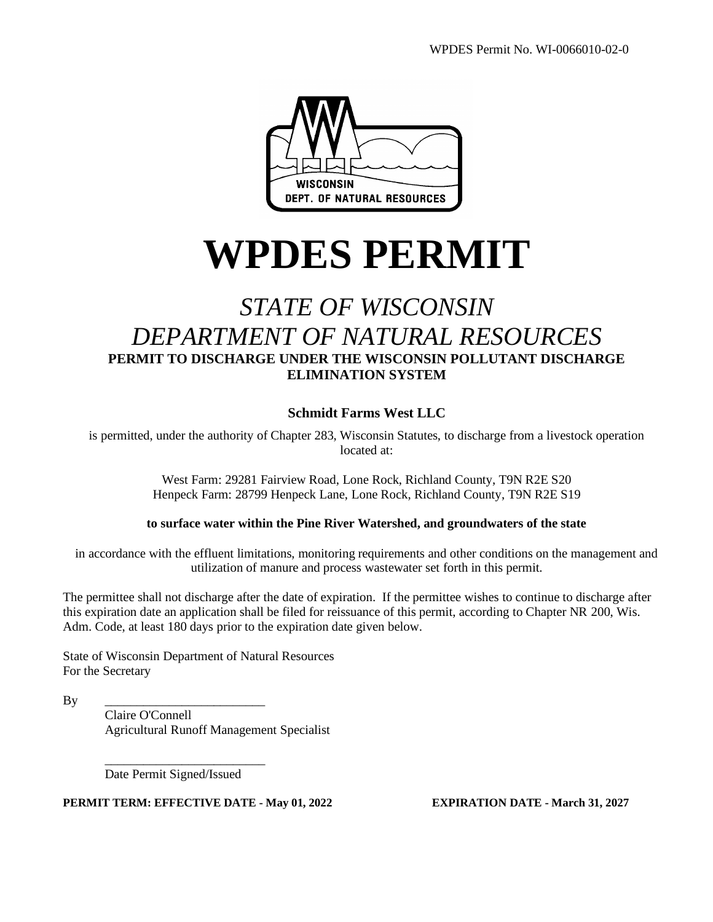

# **WPDES PERMIT**

# *STATE OF WISCONSIN DEPARTMENT OF NATURAL RESOURCES* **PERMIT TO DISCHARGE UNDER THE WISCONSIN POLLUTANT DISCHARGE ELIMINATION SYSTEM**

#### **Schmidt Farms West LLC**

is permitted, under the authority of Chapter 283, Wisconsin Statutes, to discharge from a livestock operation located at:

> West Farm: 29281 Fairview Road, Lone Rock, Richland County, T9N R2E S20 Henpeck Farm: 28799 Henpeck Lane, Lone Rock, Richland County, T9N R2E S19

#### **to surface water within the Pine River Watershed, and groundwaters of the state**

in accordance with the effluent limitations, monitoring requirements and other conditions on the management and utilization of manure and process wastewater set forth in this permit.

The permittee shall not discharge after the date of expiration. If the permittee wishes to continue to discharge after this expiration date an application shall be filed for reissuance of this permit, according to Chapter NR 200, Wis. Adm. Code, at least 180 days prior to the expiration date given below.

State of Wisconsin Department of Natural Resources For the Secretary

By \_\_\_\_\_\_\_\_\_\_\_\_\_\_\_\_\_\_\_\_\_\_\_\_\_

Claire O'Connell Agricultural Runoff Management Specialist

\_\_\_\_\_\_\_\_\_\_\_\_\_\_\_\_\_\_\_\_\_\_\_\_\_ Date Permit Signed/Issued

**PERMIT TERM: EFFECTIVE DATE - May 01, 2022 EXPIRATION DATE - March 31, 2027**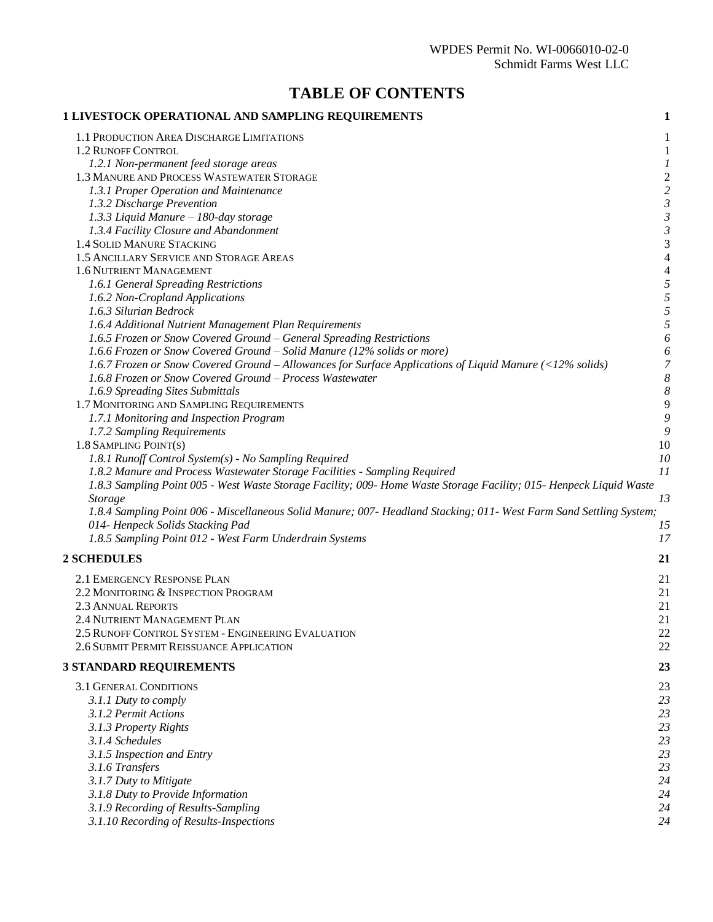### **TABLE OF CONTENTS**

| 1 LIVESTOCK OPERATIONAL AND SAMPLING REQUIREMENTS                                                                   | $\mathbf{1}$             |
|---------------------------------------------------------------------------------------------------------------------|--------------------------|
| 1.1 PRODUCTION AREA DISCHARGE LIMITATIONS                                                                           | 1                        |
| 1.2 RUNOFF CONTROL                                                                                                  | $\mathbf{1}$             |
| 1.2.1 Non-permanent feed storage areas                                                                              | 1                        |
| 1.3 MANURE AND PROCESS WASTEWATER STORAGE                                                                           | $\overline{\mathbf{c}}$  |
| 1.3.1 Proper Operation and Maintenance                                                                              | $\overline{c}$           |
| 1.3.2 Discharge Prevention                                                                                          | $\mathfrak{Z}$           |
| 1.3.3 Liquid Manure - 180-day storage                                                                               | $\mathfrak{Z}$           |
| 1.3.4 Facility Closure and Abandonment                                                                              | $\mathfrak{Z}$           |
| 1.4 SOLID MANURE STACKING                                                                                           | 3                        |
| 1.5 ANCILLARY SERVICE AND STORAGE AREAS                                                                             | $\overline{4}$           |
| 1.6 NUTRIENT MANAGEMENT                                                                                             | $\overline{\mathcal{L}}$ |
| 1.6.1 General Spreading Restrictions                                                                                | 5                        |
| 1.6.2 Non-Cropland Applications                                                                                     | 5                        |
| 1.6.3 Silurian Bedrock                                                                                              | 5                        |
| 1.6.4 Additional Nutrient Management Plan Requirements                                                              | 5                        |
| 1.6.5 Frozen or Snow Covered Ground – General Spreading Restrictions                                                | 6                        |
| 1.6.6 Frozen or Snow Covered Ground – Solid Manure (12% solids or more)                                             | 6                        |
| 1.6.7 Frozen or Snow Covered Ground – Allowances for Surface Applications of Liquid Manure (<12% solids)            | $\overline{7}$           |
| 1.6.8 Frozen or Snow Covered Ground - Process Wastewater                                                            | $\boldsymbol{\delta}$    |
| 1.6.9 Spreading Sites Submittals                                                                                    | 8                        |
| 1.7 MONITORING AND SAMPLING REQUIREMENTS                                                                            | 9<br>9                   |
| 1.7.1 Monitoring and Inspection Program<br>1.7.2 Sampling Requirements                                              | 9                        |
| 1.8 SAMPLING POINT(S)                                                                                               | 10                       |
| 1.8.1 Runoff Control System(s) - No Sampling Required                                                               | 10                       |
| 1.8.2 Manure and Process Wastewater Storage Facilities - Sampling Required                                          | 11                       |
| 1.8.3 Sampling Point 005 - West Waste Storage Facility; 009- Home Waste Storage Facility; 015- Henpeck Liquid Waste |                          |
| <b>Storage</b>                                                                                                      | 13                       |
| 1.8.4 Sampling Point 006 - Miscellaneous Solid Manure; 007- Headland Stacking; 011- West Farm Sand Settling System; |                          |
| 014- Henpeck Solids Stacking Pad                                                                                    | 15                       |
| 1.8.5 Sampling Point 012 - West Farm Underdrain Systems                                                             | 17                       |
| <b>2 SCHEDULES</b>                                                                                                  | 21                       |
| 2.1 EMERGENCY RESPONSE PLAN                                                                                         | 21                       |
| 2.2 MONITORING & INSPECTION PROGRAM                                                                                 | 21                       |
| <b>2.3 ANNUAL REPORTS</b>                                                                                           | 21                       |
| 2.4 NUTRIENT MANAGEMENT PLAN                                                                                        | 21                       |
| 2.5 RUNOFF CONTROL SYSTEM - ENGINEERING EVALUATION                                                                  | 22                       |
| 2.6 SUBMIT PERMIT REISSUANCE APPLICATION                                                                            | 22                       |
| <b>3 STANDARD REQUIREMENTS</b>                                                                                      | 23                       |
| 3.1 GENERAL CONDITIONS                                                                                              |                          |
| 3.1.1 Duty to comply                                                                                                | 23<br>23                 |
| 3.1.2 Permit Actions                                                                                                | 23                       |
| 3.1.3 Property Rights                                                                                               | 23                       |
| 3.1.4 Schedules                                                                                                     | 23                       |
| 3.1.5 Inspection and Entry                                                                                          | 23                       |
| 3.1.6 Transfers                                                                                                     | 23                       |
| 3.1.7 Duty to Mitigate                                                                                              | 24                       |
| 3.1.8 Duty to Provide Information                                                                                   | 24                       |
| 3.1.9 Recording of Results-Sampling                                                                                 | 24                       |
| 3.1.10 Recording of Results-Inspections                                                                             | 24                       |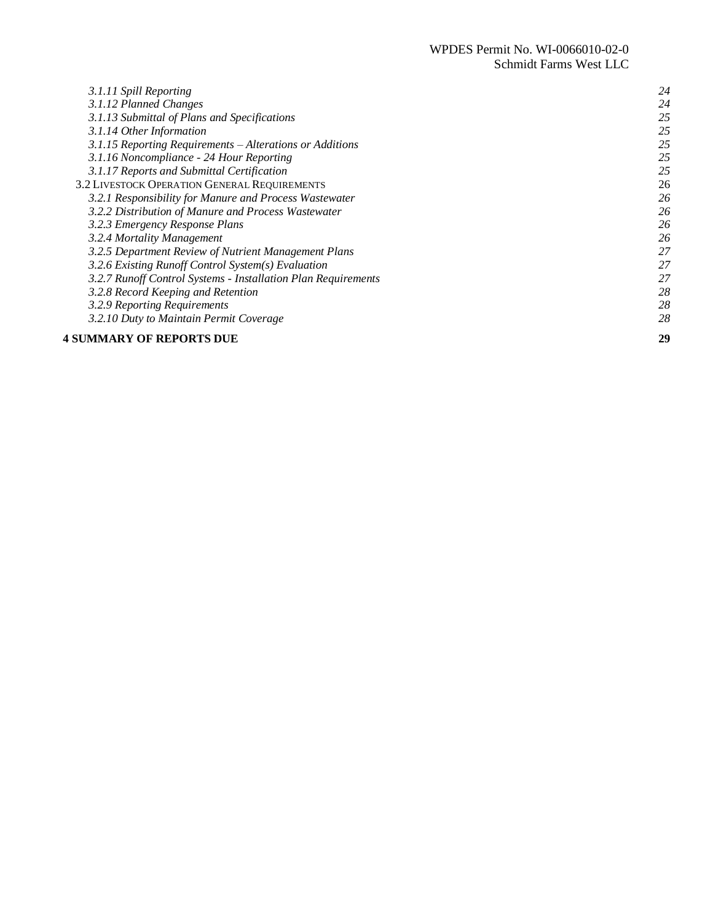| 3.1.11 Spill Reporting                                        | 24 |
|---------------------------------------------------------------|----|
| 3.1.12 Planned Changes                                        | 24 |
| 3.1.13 Submittal of Plans and Specifications                  | 25 |
| 3.1.14 Other Information                                      | 25 |
| 3.1.15 Reporting Requirements - Alterations or Additions      | 25 |
| 3.1.16 Noncompliance - 24 Hour Reporting                      | 25 |
| 3.1.17 Reports and Submittal Certification                    | 25 |
| 3.2 LIVESTOCK OPERATION GENERAL REQUIREMENTS                  | 26 |
| 3.2.1 Responsibility for Manure and Process Wastewater        | 26 |
| 3.2.2 Distribution of Manure and Process Wastewater           | 26 |
| 3.2.3 Emergency Response Plans                                | 26 |
| 3.2.4 Mortality Management                                    | 26 |
| 3.2.5 Department Review of Nutrient Management Plans          | 27 |
| 3.2.6 Existing Runoff Control System(s) Evaluation            | 27 |
| 3.2.7 Runoff Control Systems - Installation Plan Requirements | 27 |
| 3.2.8 Record Keeping and Retention                            | 28 |
| 3.2.9 Reporting Requirements                                  | 28 |
| 3.2.10 Duty to Maintain Permit Coverage                       | 28 |
| <b>4 SUMMARY OF REPORTS DUE</b>                               | 29 |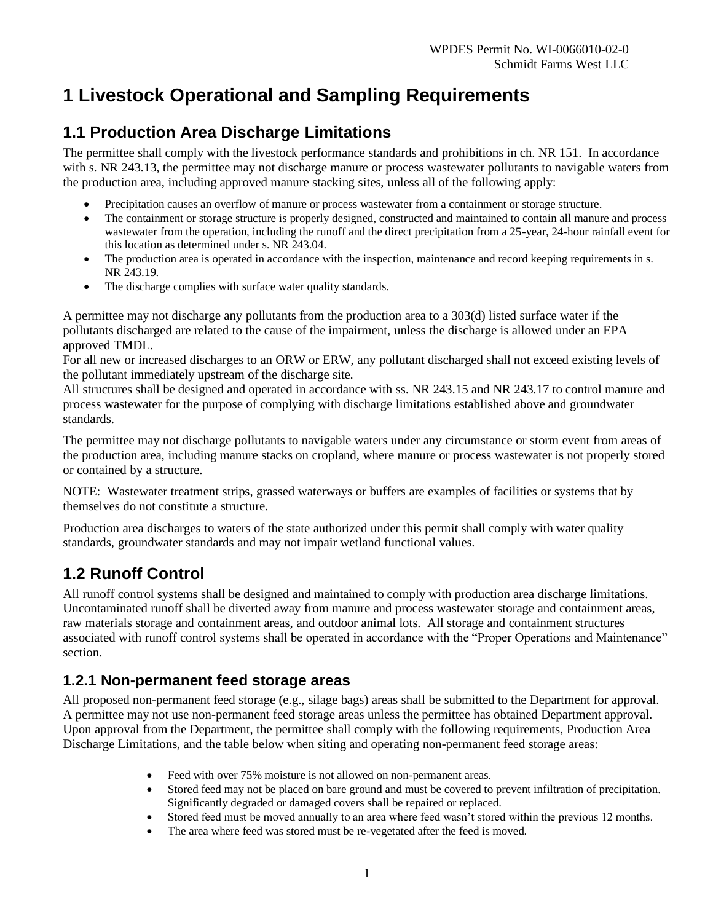# **1 Livestock Operational and Sampling Requirements**

# **1.1 Production Area Discharge Limitations**

The permittee shall comply with the livestock performance standards and prohibitions in ch. NR 151. In accordance with s. NR 243.13, the permittee may not discharge manure or process wastewater pollutants to navigable waters from the production area, including approved manure stacking sites, unless all of the following apply:

- Precipitation causes an overflow of manure or process wastewater from a containment or storage structure.
- The containment or storage structure is properly designed, constructed and maintained to contain all manure and process wastewater from the operation, including the runoff and the direct precipitation from a 25-year, 24-hour rainfall event for this location as determined under s. NR 243.04.
- The production area is operated in accordance with the inspection, maintenance and record keeping requirements in s. NR 243.19.
- The discharge complies with surface water quality standards.

A permittee may not discharge any pollutants from the production area to a 303(d) listed surface water if the pollutants discharged are related to the cause of the impairment, unless the discharge is allowed under an EPA approved TMDL.

For all new or increased discharges to an ORW or ERW, any pollutant discharged shall not exceed existing levels of the pollutant immediately upstream of the discharge site.

All structures shall be designed and operated in accordance with ss. NR 243.15 and NR 243.17 to control manure and process wastewater for the purpose of complying with discharge limitations established above and groundwater standards.

The permittee may not discharge pollutants to navigable waters under any circumstance or storm event from areas of the production area, including manure stacks on cropland, where manure or process wastewater is not properly stored or contained by a structure.

NOTE: Wastewater treatment strips, grassed waterways or buffers are examples of facilities or systems that by themselves do not constitute a structure.

Production area discharges to waters of the state authorized under this permit shall comply with water quality standards, groundwater standards and may not impair wetland functional values.

## **1.2 Runoff Control**

All runoff control systems shall be designed and maintained to comply with production area discharge limitations. Uncontaminated runoff shall be diverted away from manure and process wastewater storage and containment areas, raw materials storage and containment areas, and outdoor animal lots. All storage and containment structures associated with runoff control systems shall be operated in accordance with the "Proper Operations and Maintenance" section.

### **1.2.1 Non-permanent feed storage areas**

All proposed non-permanent feed storage (e.g., silage bags) areas shall be submitted to the Department for approval. A permittee may not use non-permanent feed storage areas unless the permittee has obtained Department approval. Upon approval from the Department, the permittee shall comply with the following requirements, Production Area Discharge Limitations, and the table below when siting and operating non-permanent feed storage areas:

- Feed with over 75% moisture is not allowed on non-permanent areas.
- Stored feed may not be placed on bare ground and must be covered to prevent infiltration of precipitation. Significantly degraded or damaged covers shall be repaired or replaced.
- Stored feed must be moved annually to an area where feed wasn't stored within the previous 12 months.
- The area where feed was stored must be re-vegetated after the feed is moved.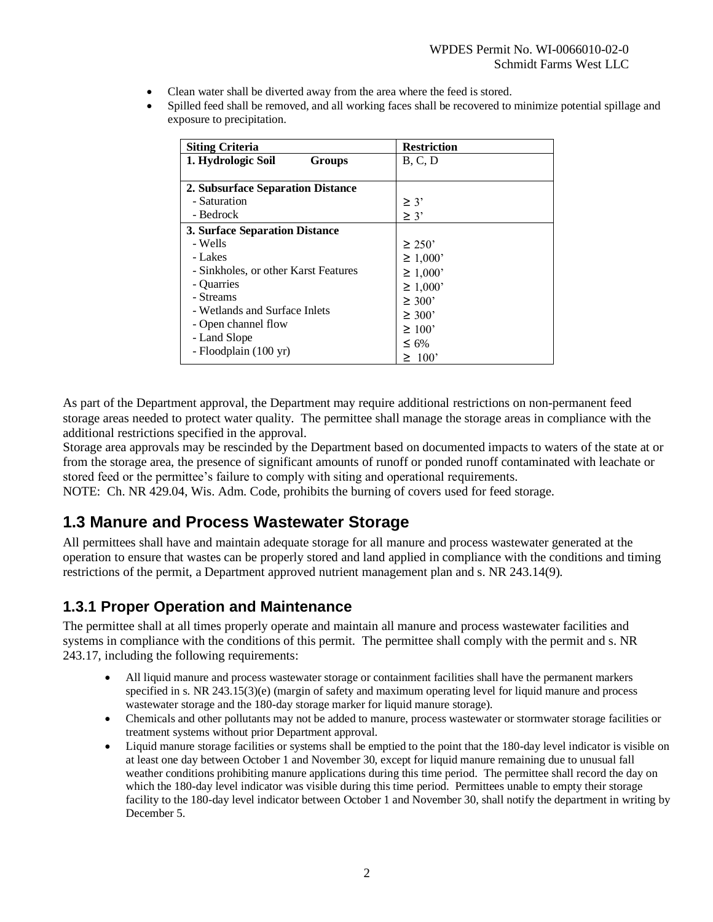- Clean water shall be diverted away from the area where the feed is stored.
- Spilled feed shall be removed, and all working faces shall be recovered to minimize potential spillage and exposure to precipitation.

| <b>Siting Criteria</b>                                         | <b>Restriction</b>     |
|----------------------------------------------------------------|------------------------|
| 1. Hydrologic Soil<br>Groups                                   | B, C, D                |
| 2. Subsurface Separation Distance<br>- Saturation<br>- Bedrock | $\geq$ 3'<br>$\geq$ 3' |
| 3. Surface Separation Distance                                 |                        |
| - Wells                                                        | $\geq$ 250'            |
| - Lakes                                                        | $\geq 1,000$           |
| - Sinkholes, or other Karst Features                           | $\geq 1,000$           |
| - Quarries                                                     | $\geq 1,000$           |
| - Streams                                                      | $\geq 300'$            |
| - Wetlands and Surface Inlets                                  | $\geq 300'$            |
| - Open channel flow                                            | $\geq 100$             |
| - Land Slope                                                   | $\leq 6\%$             |
| - Floodplain (100 yr)                                          | $\geq 100$             |

As part of the Department approval, the Department may require additional restrictions on non-permanent feed storage areas needed to protect water quality. The permittee shall manage the storage areas in compliance with the additional restrictions specified in the approval.

Storage area approvals may be rescinded by the Department based on documented impacts to waters of the state at or from the storage area, the presence of significant amounts of runoff or ponded runoff contaminated with leachate or stored feed or the permittee's failure to comply with siting and operational requirements.

NOTE: Ch. NR 429.04, Wis. Adm. Code, prohibits the burning of covers used for feed storage.

### **1.3 Manure and Process Wastewater Storage**

All permittees shall have and maintain adequate storage for all manure and process wastewater generated at the operation to ensure that wastes can be properly stored and land applied in compliance with the conditions and timing restrictions of the permit, a Department approved nutrient management plan and s. NR 243.14(9).

#### **1.3.1 Proper Operation and Maintenance**

The permittee shall at all times properly operate and maintain all manure and process wastewater facilities and systems in compliance with the conditions of this permit. The permittee shall comply with the permit and s. NR 243.17, including the following requirements:

- All liquid manure and process wastewater storage or containment facilities shall have the permanent markers specified in s. NR 243.15(3)(e) (margin of safety and maximum operating level for liquid manure and process wastewater storage and the 180-day storage marker for liquid manure storage).
- Chemicals and other pollutants may not be added to manure, process wastewater or stormwater storage facilities or treatment systems without prior Department approval.
- Liquid manure storage facilities or systems shall be emptied to the point that the 180-day level indicator is visible on at least one day between October 1 and November 30, except for liquid manure remaining due to unusual fall weather conditions prohibiting manure applications during this time period. The permittee shall record the day on which the 180-day level indicator was visible during this time period. Permittees unable to empty their storage facility to the 180-day level indicator between October 1 and November 30, shall notify the department in writing by December 5.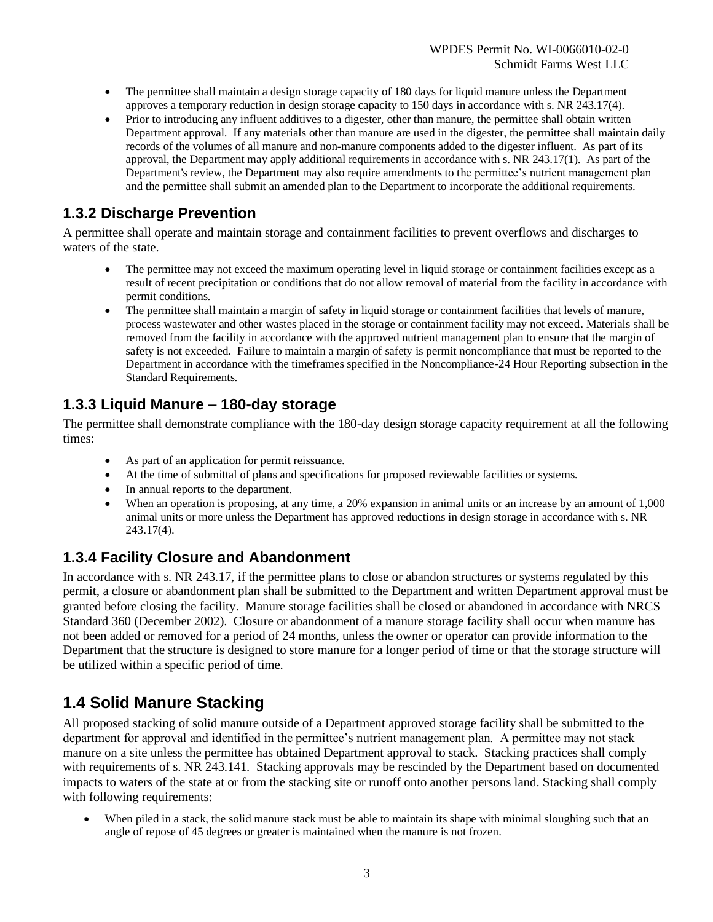- The permittee shall maintain a design storage capacity of 180 days for liquid manure unless the Department approves a temporary reduction in design storage capacity to 150 days in accordance with s. NR 243.17(4).
- Prior to introducing any influent additives to a digester, other than manure, the permittee shall obtain written Department approval. If any materials other than manure are used in the digester, the permittee shall maintain daily records of the volumes of all manure and non-manure components added to the digester influent. As part of its approval, the Department may apply additional requirements in accordance with s. NR 243.17(1). As part of the Department's review, the Department may also require amendments to the permittee's nutrient management plan and the permittee shall submit an amended plan to the Department to incorporate the additional requirements.

### **1.3.2 Discharge Prevention**

A permittee shall operate and maintain storage and containment facilities to prevent overflows and discharges to waters of the state.

- The permittee may not exceed the maximum operating level in liquid storage or containment facilities except as a result of recent precipitation or conditions that do not allow removal of material from the facility in accordance with permit conditions.
- The permittee shall maintain a margin of safety in liquid storage or containment facilities that levels of manure, process wastewater and other wastes placed in the storage or containment facility may not exceed. Materials shall be removed from the facility in accordance with the approved nutrient management plan to ensure that the margin of safety is not exceeded. Failure to maintain a margin of safety is permit noncompliance that must be reported to the Department in accordance with the timeframes specified in the Noncompliance-24 Hour Reporting subsection in the Standard Requirements.

### **1.3.3 Liquid Manure – 180-day storage**

The permittee shall demonstrate compliance with the 180-day design storage capacity requirement at all the following times:

- As part of an application for permit reissuance.
- At the time of submittal of plans and specifications for proposed reviewable facilities or systems.
- In annual reports to the department.
- When an operation is proposing, at any time, a 20% expansion in animal units or an increase by an amount of 1,000 animal units or more unless the Department has approved reductions in design storage in accordance with s. NR 243.17(4).

### **1.3.4 Facility Closure and Abandonment**

In accordance with s. NR 243.17, if the permittee plans to close or abandon structures or systems regulated by this permit, a closure or abandonment plan shall be submitted to the Department and written Department approval must be granted before closing the facility. Manure storage facilities shall be closed or abandoned in accordance with NRCS Standard 360 (December 2002). Closure or abandonment of a manure storage facility shall occur when manure has not been added or removed for a period of 24 months, unless the owner or operator can provide information to the Department that the structure is designed to store manure for a longer period of time or that the storage structure will be utilized within a specific period of time.

### **1.4 Solid Manure Stacking**

All proposed stacking of solid manure outside of a Department approved storage facility shall be submitted to the department for approval and identified in the permittee's nutrient management plan. A permittee may not stack manure on a site unless the permittee has obtained Department approval to stack. Stacking practices shall comply with requirements of s. NR 243.141. Stacking approvals may be rescinded by the Department based on documented impacts to waters of the state at or from the stacking site or runoff onto another persons land. Stacking shall comply with following requirements:

When piled in a stack, the solid manure stack must be able to maintain its shape with minimal sloughing such that an angle of repose of 45 degrees or greater is maintained when the manure is not frozen.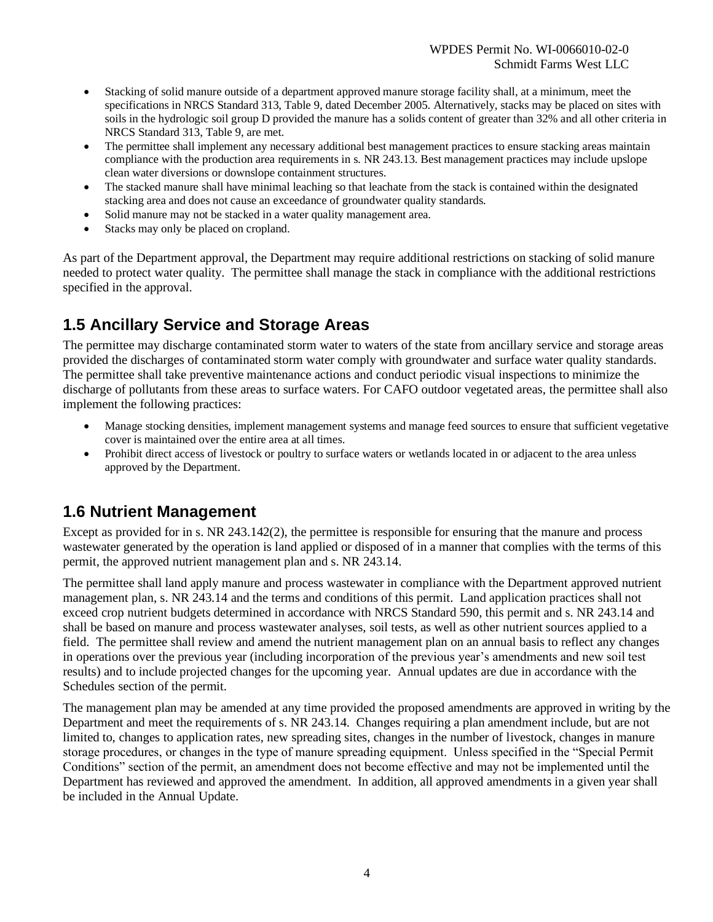- Stacking of solid manure outside of a department approved manure storage facility shall, at a minimum, meet the specifications in NRCS Standard 313, Table 9, dated December 2005. Alternatively, stacks may be placed on sites with soils in the hydrologic soil group D provided the manure has a solids content of greater than 32% and all other criteria in NRCS Standard 313, Table 9, are met.
- The permittee shall implement any necessary additional best management practices to ensure stacking areas maintain compliance with the production area requirements in s. NR 243.13. Best management practices may include upslope clean water diversions or downslope containment structures.
- The stacked manure shall have minimal leaching so that leachate from the stack is contained within the designated stacking area and does not cause an exceedance of groundwater quality standards.
- Solid manure may not be stacked in a water quality management area.
- Stacks may only be placed on cropland.

As part of the Department approval, the Department may require additional restrictions on stacking of solid manure needed to protect water quality. The permittee shall manage the stack in compliance with the additional restrictions specified in the approval.

## **1.5 Ancillary Service and Storage Areas**

The permittee may discharge contaminated storm water to waters of the state from ancillary service and storage areas provided the discharges of contaminated storm water comply with groundwater and surface water quality standards. The permittee shall take preventive maintenance actions and conduct periodic visual inspections to minimize the discharge of pollutants from these areas to surface waters. For CAFO outdoor vegetated areas, the permittee shall also implement the following practices:

- Manage stocking densities, implement management systems and manage feed sources to ensure that sufficient vegetative cover is maintained over the entire area at all times.
- Prohibit direct access of livestock or poultry to surface waters or wetlands located in or adjacent to the area unless approved by the Department.

### **1.6 Nutrient Management**

Except as provided for in s. NR 243.142(2), the permittee is responsible for ensuring that the manure and process wastewater generated by the operation is land applied or disposed of in a manner that complies with the terms of this permit, the approved nutrient management plan and s. NR 243.14.

The permittee shall land apply manure and process wastewater in compliance with the Department approved nutrient management plan, s. NR 243.14 and the terms and conditions of this permit. Land application practices shall not exceed crop nutrient budgets determined in accordance with NRCS Standard 590, this permit and s. NR 243.14 and shall be based on manure and process wastewater analyses, soil tests, as well as other nutrient sources applied to a field. The permittee shall review and amend the nutrient management plan on an annual basis to reflect any changes in operations over the previous year (including incorporation of the previous year's amendments and new soil test results) and to include projected changes for the upcoming year. Annual updates are due in accordance with the Schedules section of the permit.

The management plan may be amended at any time provided the proposed amendments are approved in writing by the Department and meet the requirements of s. NR 243.14. Changes requiring a plan amendment include, but are not limited to, changes to application rates, new spreading sites, changes in the number of livestock, changes in manure storage procedures, or changes in the type of manure spreading equipment. Unless specified in the "Special Permit Conditions" section of the permit, an amendment does not become effective and may not be implemented until the Department has reviewed and approved the amendment. In addition, all approved amendments in a given year shall be included in the Annual Update.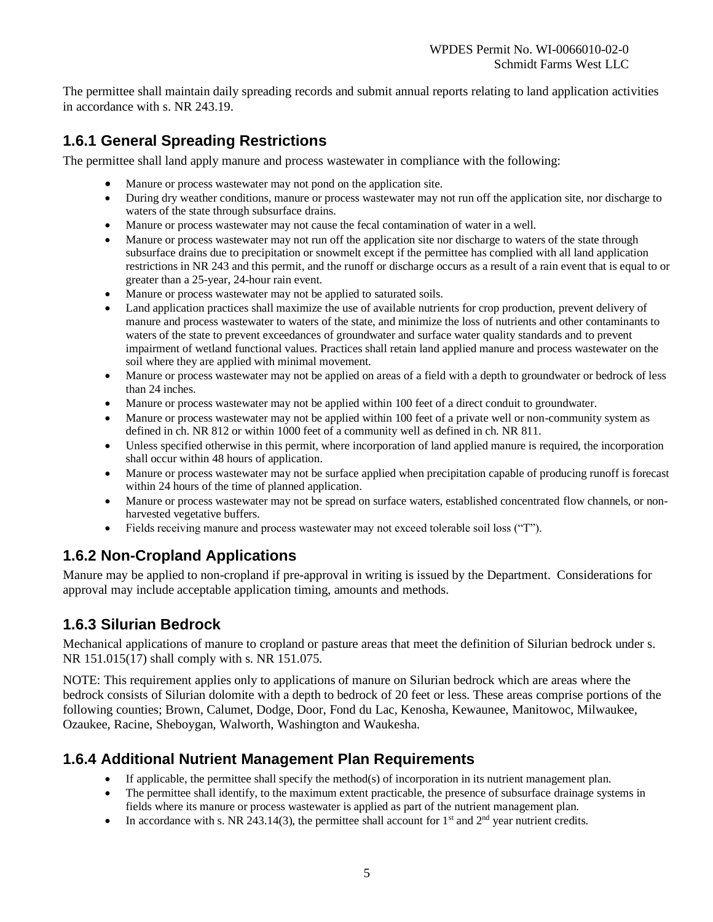The permittee shall maintain daily spreading records and submit annual reports relating to land application activities in accordance with s. NR 243.19.

### **1.6.1 General Spreading Restrictions**

The permittee shall land apply manure and process wastewater in compliance with the following:

- Manure or process wastewater may not pond on the application site.
- During dry weather conditions, manure or process wastewater may not run off the application site, nor discharge to waters of the state through subsurface drains.
- Manure or process wastewater may not cause the fecal contamination of water in a well.
- Manure or process wastewater may not run off the application site nor discharge to waters of the state through subsurface drains due to precipitation or snowmelt except if the permittee has complied with all land application restrictions in NR 243 and this permit, and the runoff or discharge occurs as a result of a rain event that is equal to or greater than a 25-year, 24-hour rain event.
- Manure or process wastewater may not be applied to saturated soils.
- Land application practices shall maximize the use of available nutrients for crop production, prevent delivery of manure and process wastewater to waters of the state, and minimize the loss of nutrients and other contaminants to waters of the state to prevent exceedances of groundwater and surface water quality standards and to prevent impairment of wetland functional values. Practices shall retain land applied manure and process wastewater on the soil where they are applied with minimal movement.
- Manure or process wastewater may not be applied on areas of a field with a depth to groundwater or bedrock of less than 24 inches.
- Manure or process wastewater may not be applied within 100 feet of a direct conduit to groundwater.
- Manure or process wastewater may not be applied within 100 feet of a private well or non-community system as defined in ch. NR 812 or within 1000 feet of a community well as defined in ch. NR 811.
- Unless specified otherwise in this permit, where incorporation of land applied manure is required, the incorporation shall occur within 48 hours of application.
- Manure or process wastewater may not be surface applied when precipitation capable of producing runoff is forecast within 24 hours of the time of planned application.
- Manure or process wastewater may not be spread on surface waters, established concentrated flow channels, or nonharvested vegetative buffers.
- Fields receiving manure and process wastewater may not exceed tolerable soil loss ("T").

### **1.6.2 Non-Cropland Applications**

Manure may be applied to non-cropland if pre-approval in writing is issued by the Department. Considerations for approval may include acceptable application timing, amounts and methods.

### **1.6.3 Silurian Bedrock**

Mechanical applications of manure to cropland or pasture areas that meet the definition of Silurian bedrock under s. NR 151.015(17) shall comply with s. NR 151.075.

NOTE: This requirement applies only to applications of manure on Silurian bedrock which are areas where the bedrock consists of Silurian dolomite with a depth to bedrock of 20 feet or less. These areas comprise portions of the following counties; Brown, Calumet, Dodge, Door, Fond du Lac, Kenosha, Kewaunee, Manitowoc, Milwaukee, Ozaukee, Racine, Sheboygan, Walworth, Washington and Waukesha.

### **1.6.4 Additional Nutrient Management Plan Requirements**

- If applicable, the permittee shall specify the method(s) of incorporation in its nutrient management plan.
- The permittee shall identify, to the maximum extent practicable, the presence of subsurface drainage systems in fields where its manure or process wastewater is applied as part of the nutrient management plan.
- In accordance with s. NR 243.14(3), the permittee shall account for  $1<sup>st</sup>$  and  $2<sup>nd</sup>$  year nutrient credits.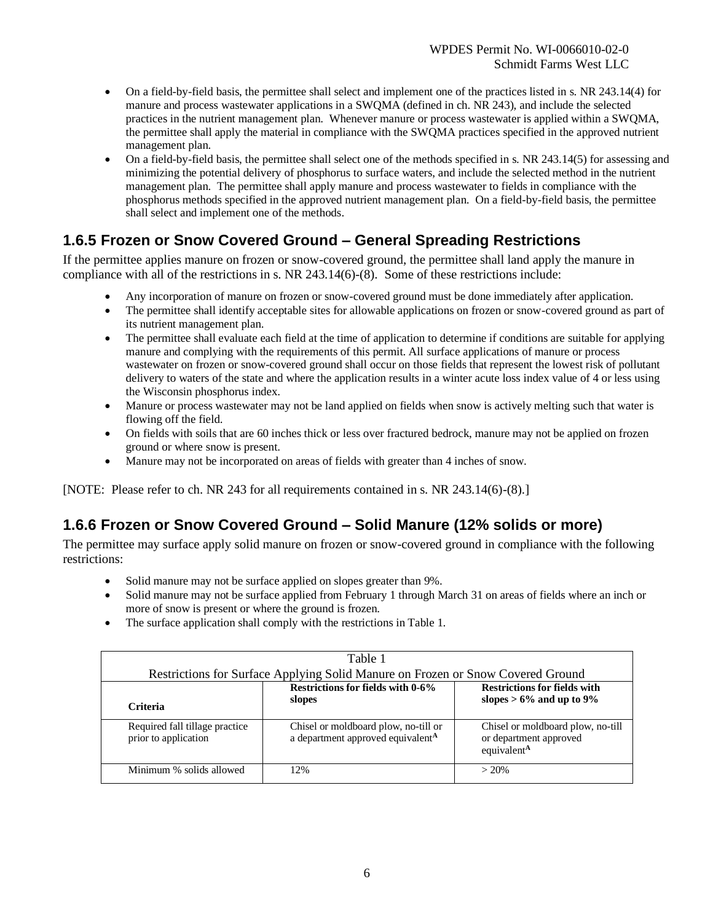- On a field-by-field basis, the permittee shall select and implement one of the practices listed in s. NR 243.14(4) for manure and process wastewater applications in a SWQMA (defined in ch. NR 243), and include the selected practices in the nutrient management plan. Whenever manure or process wastewater is applied within a SWQMA, the permittee shall apply the material in compliance with the SWQMA practices specified in the approved nutrient management plan.
- On a field-by-field basis, the permittee shall select one of the methods specified in s. NR 243.14(5) for assessing and minimizing the potential delivery of phosphorus to surface waters, and include the selected method in the nutrient management plan. The permittee shall apply manure and process wastewater to fields in compliance with the phosphorus methods specified in the approved nutrient management plan. On a field-by-field basis, the permittee shall select and implement one of the methods.

### **1.6.5 Frozen or Snow Covered Ground – General Spreading Restrictions**

If the permittee applies manure on frozen or snow-covered ground, the permittee shall land apply the manure in compliance with all of the restrictions in s. NR 243.14(6)-(8). Some of these restrictions include:

- Any incorporation of manure on frozen or snow-covered ground must be done immediately after application.
- The permittee shall identify acceptable sites for allowable applications on frozen or snow-covered ground as part of its nutrient management plan.
- The permittee shall evaluate each field at the time of application to determine if conditions are suitable for applying manure and complying with the requirements of this permit. All surface applications of manure or process wastewater on frozen or snow-covered ground shall occur on those fields that represent the lowest risk of pollutant delivery to waters of the state and where the application results in a winter acute loss index value of 4 or less using the Wisconsin phosphorus index.
- Manure or process wastewater may not be land applied on fields when snow is actively melting such that water is flowing off the field.
- On fields with soils that are 60 inches thick or less over fractured bedrock, manure may not be applied on frozen ground or where snow is present.
- Manure may not be incorporated on areas of fields with greater than 4 inches of snow.

[NOTE: Please refer to ch. NR 243 for all requirements contained in s. NR 243.14(6)-(8).]

### **1.6.6 Frozen or Snow Covered Ground – Solid Manure (12% solids or more)**

The permittee may surface apply solid manure on frozen or snow-covered ground in compliance with the following restrictions:

- Solid manure may not be surface applied on slopes greater than 9%.
- Solid manure may not be surface applied from February 1 through March 31 on areas of fields where an inch or more of snow is present or where the ground is frozen.
- The surface application shall comply with the restrictions in Table 1.

| Table 1                                                                  |                                                                                       |                                                                                        |  |  |
|--------------------------------------------------------------------------|---------------------------------------------------------------------------------------|----------------------------------------------------------------------------------------|--|--|
|                                                                          | Restrictions for Surface Applying Solid Manure on Frozen or Snow Covered Ground       |                                                                                        |  |  |
| Restrictions for fields with 0-6%<br><b>Restrictions for fields with</b> |                                                                                       |                                                                                        |  |  |
| <b>Criteria</b>                                                          | slopes                                                                                | slopes $> 6\%$ and up to 9%                                                            |  |  |
| Required fall tillage practice<br>prior to application                   | Chisel or moldboard plow, no-till or<br>a department approved equivalent <sup>A</sup> | Chisel or moldboard plow, no-till<br>or department approved<br>equivalent <sup>A</sup> |  |  |
| Minimum % solids allowed                                                 | 12%                                                                                   | $> 20\%$                                                                               |  |  |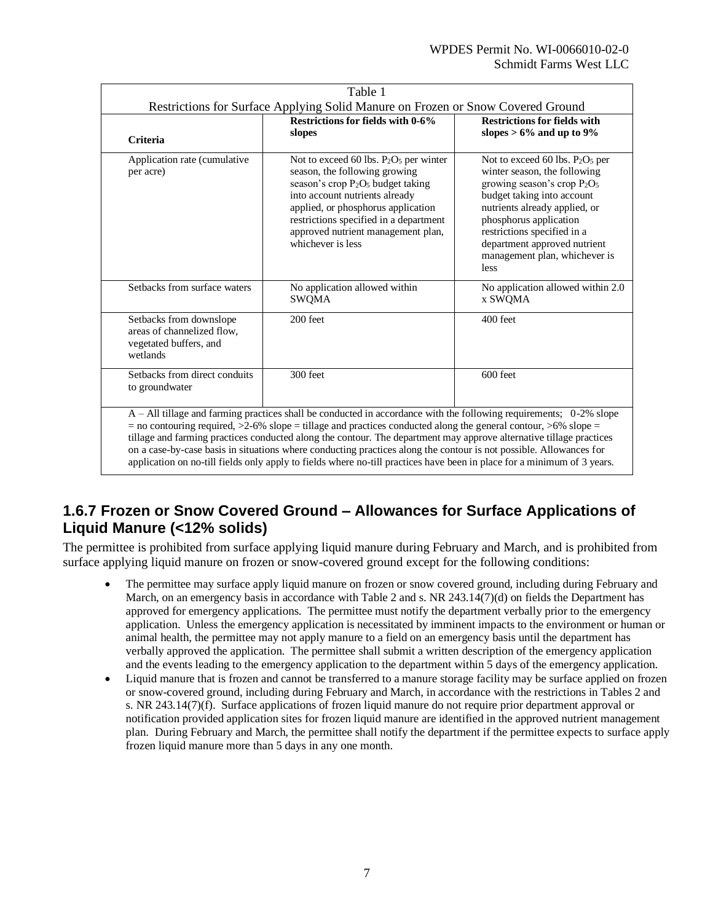| Table 1                                                                                                                                                                                                                                                                                                                                                                                                                                                                                                                                                                                                            |                                                                                                                                                                                                                                                                                                                      |                                                                                                                                                                                                                                                                                                       |  |  |
|--------------------------------------------------------------------------------------------------------------------------------------------------------------------------------------------------------------------------------------------------------------------------------------------------------------------------------------------------------------------------------------------------------------------------------------------------------------------------------------------------------------------------------------------------------------------------------------------------------------------|----------------------------------------------------------------------------------------------------------------------------------------------------------------------------------------------------------------------------------------------------------------------------------------------------------------------|-------------------------------------------------------------------------------------------------------------------------------------------------------------------------------------------------------------------------------------------------------------------------------------------------------|--|--|
| Restrictions for Surface Applying Solid Manure on Frozen or Snow Covered Ground                                                                                                                                                                                                                                                                                                                                                                                                                                                                                                                                    |                                                                                                                                                                                                                                                                                                                      |                                                                                                                                                                                                                                                                                                       |  |  |
| Criteria                                                                                                                                                                                                                                                                                                                                                                                                                                                                                                                                                                                                           | Restrictions for fields with 0-6%<br>slopes                                                                                                                                                                                                                                                                          | <b>Restrictions for fields with</b><br>slopes $> 6\%$ and up to 9%                                                                                                                                                                                                                                    |  |  |
| Application rate (cumulative<br>per acre)                                                                                                                                                                                                                                                                                                                                                                                                                                                                                                                                                                          | Not to exceed 60 lbs. $P_2O_5$ per winter<br>season, the following growing<br>season's crop P <sub>2</sub> O <sub>5</sub> budget taking<br>into account nutrients already<br>applied, or phosphorus application<br>restrictions specified in a department<br>approved nutrient management plan,<br>whichever is less | Not to exceed 60 lbs. $P_2O_5$ per<br>winter season, the following<br>growing season's crop $P_2O_5$<br>budget taking into account<br>nutrients already applied, or<br>phosphorus application<br>restrictions specified in a<br>department approved nutrient<br>management plan, whichever is<br>less |  |  |
| Setbacks from surface waters                                                                                                                                                                                                                                                                                                                                                                                                                                                                                                                                                                                       | No application allowed within<br><b>SWQMA</b>                                                                                                                                                                                                                                                                        | No application allowed within 2.0<br>x SWQMA                                                                                                                                                                                                                                                          |  |  |
| Setbacks from downslope<br>areas of channelized flow.<br>vegetated buffers, and<br>wetlands                                                                                                                                                                                                                                                                                                                                                                                                                                                                                                                        | $200$ feet                                                                                                                                                                                                                                                                                                           | $400$ feet                                                                                                                                                                                                                                                                                            |  |  |
| Setbacks from direct conduits<br>to groundwater                                                                                                                                                                                                                                                                                                                                                                                                                                                                                                                                                                    | 300 feet                                                                                                                                                                                                                                                                                                             | 600 feet                                                                                                                                                                                                                                                                                              |  |  |
| A – All tillage and farming practices shall be conducted in accordance with the following requirements; 0-2% slope<br>= no contouring required, $>2$ -6% slope = tillage and practices conducted along the general contour, $>6$ % slope =<br>tillage and farming practices conducted along the contour. The department may approve alternative tillage practices<br>on a case-by-case basis in situations where conducting practices along the contour is not possible. Allowances for<br>application on no-till fields only apply to fields where no-till practices have been in place for a minimum of 3 years. |                                                                                                                                                                                                                                                                                                                      |                                                                                                                                                                                                                                                                                                       |  |  |

### **1.6.7 Frozen or Snow Covered Ground – Allowances for Surface Applications of Liquid Manure (<12% solids)**

The permittee is prohibited from surface applying liquid manure during February and March, and is prohibited from surface applying liquid manure on frozen or snow-covered ground except for the following conditions:

- The permittee may surface apply liquid manure on frozen or snow covered ground, including during February and March, on an emergency basis in accordance with Table 2 and s. NR  $243.14(7)(d)$  on fields the Department has approved for emergency applications. The permittee must notify the department verbally prior to the emergency application. Unless the emergency application is necessitated by imminent impacts to the environment or human or animal health, the permittee may not apply manure to a field on an emergency basis until the department has verbally approved the application. The permittee shall submit a written description of the emergency application and the events leading to the emergency application to the department within 5 days of the emergency application.
- Liquid manure that is frozen and cannot be transferred to a manure storage facility may be surface applied on frozen or snow-covered ground, including during February and March, in accordance with the restrictions in Tables 2 and s. NR 243.14(7)(f). Surface applications of frozen liquid manure do not require prior department approval or notification provided application sites for frozen liquid manure are identified in the approved nutrient management plan. During February and March, the permittee shall notify the department if the permittee expects to surface apply frozen liquid manure more than 5 days in any one month.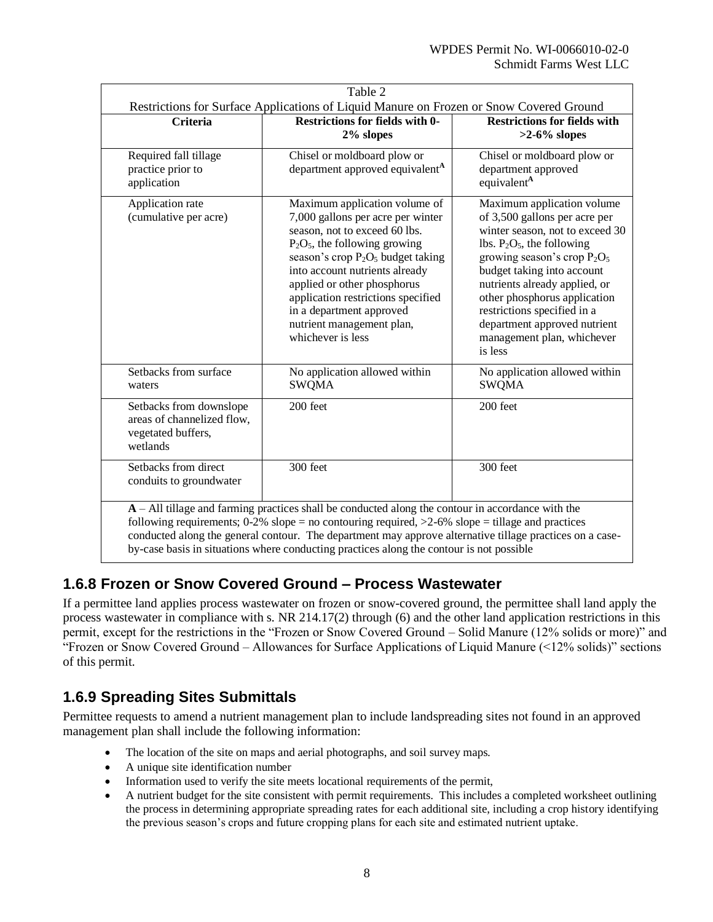| Restrictions for Surface Applications of Liquid Manure on Frozen or Snow Covered Ground |                                                                                                                                                                                                                                                                                                                                                                                                                       |                                                                                                                                                                                                                                                                                                                                                                          |  |  |
|-----------------------------------------------------------------------------------------|-----------------------------------------------------------------------------------------------------------------------------------------------------------------------------------------------------------------------------------------------------------------------------------------------------------------------------------------------------------------------------------------------------------------------|--------------------------------------------------------------------------------------------------------------------------------------------------------------------------------------------------------------------------------------------------------------------------------------------------------------------------------------------------------------------------|--|--|
| <b>Criteria</b>                                                                         | <b>Restrictions for fields with 0-</b><br>2% slopes                                                                                                                                                                                                                                                                                                                                                                   | <b>Restrictions for fields with</b><br>$>2-6\%$ slopes                                                                                                                                                                                                                                                                                                                   |  |  |
| Required fall tillage<br>practice prior to<br>application                               | Chisel or moldboard plow or<br>department approved equivalent <sup>A</sup>                                                                                                                                                                                                                                                                                                                                            | Chisel or moldboard plow or<br>department approved<br>equivalent <sup>A</sup>                                                                                                                                                                                                                                                                                            |  |  |
| Application rate<br>(cumulative per acre)                                               | Maximum application volume of<br>7,000 gallons per acre per winter<br>season, not to exceed 60 lbs.<br>$P_2O_5$ , the following growing<br>season's crop $P_2O_5$ budget taking<br>into account nutrients already<br>applied or other phosphorus<br>application restrictions specified<br>in a department approved<br>nutrient management plan,<br>whichever is less                                                  | Maximum application volume<br>of 3,500 gallons per acre per<br>winter season, not to exceed 30<br>lbs. $P_2O_5$ , the following<br>growing season's crop $P_2O_5$<br>budget taking into account<br>nutrients already applied, or<br>other phosphorus application<br>restrictions specified in a<br>department approved nutrient<br>management plan, whichever<br>is less |  |  |
| Setbacks from surface<br>waters                                                         | No application allowed within<br><b>SWQMA</b>                                                                                                                                                                                                                                                                                                                                                                         | No application allowed within<br><b>SWQMA</b>                                                                                                                                                                                                                                                                                                                            |  |  |
| Setbacks from downslope<br>areas of channelized flow,<br>vegetated buffers,<br>wetlands | 200 feet                                                                                                                                                                                                                                                                                                                                                                                                              | 200 feet                                                                                                                                                                                                                                                                                                                                                                 |  |  |
| Setbacks from direct<br>conduits to groundwater                                         | 300 feet                                                                                                                                                                                                                                                                                                                                                                                                              | 300 feet                                                                                                                                                                                                                                                                                                                                                                 |  |  |
|                                                                                         | $A - All$ tillage and farming practices shall be conducted along the contour in accordance with the<br>following requirements; $0-2\%$ slope = no contouring required, $>2-6\%$ slope = tillage and practices<br>conducted along the general contour. The department may approve alternative tillage practices on a case-<br>by-case basis in situations where conducting practices along the contour is not possible |                                                                                                                                                                                                                                                                                                                                                                          |  |  |

### **1.6.8 Frozen or Snow Covered Ground – Process Wastewater**

If a permittee land applies process wastewater on frozen or snow-covered ground, the permittee shall land apply the process wastewater in compliance with s. NR 214.17(2) through (6) and the other land application restrictions in this permit, except for the restrictions in the "Frozen or Snow Covered Ground – Solid Manure (12% solids or more)" and "Frozen or Snow Covered Ground – Allowances for Surface Applications of Liquid Manure (<12% solids)" sections of this permit.

### **1.6.9 Spreading Sites Submittals**

Permittee requests to amend a nutrient management plan to include landspreading sites not found in an approved management plan shall include the following information:

- The location of the site on maps and aerial photographs, and soil survey maps.
- A unique site identification number
- Information used to verify the site meets locational requirements of the permit,
- A nutrient budget for the site consistent with permit requirements. This includes a completed worksheet outlining the process in determining appropriate spreading rates for each additional site, including a crop history identifying the previous season's crops and future cropping plans for each site and estimated nutrient uptake.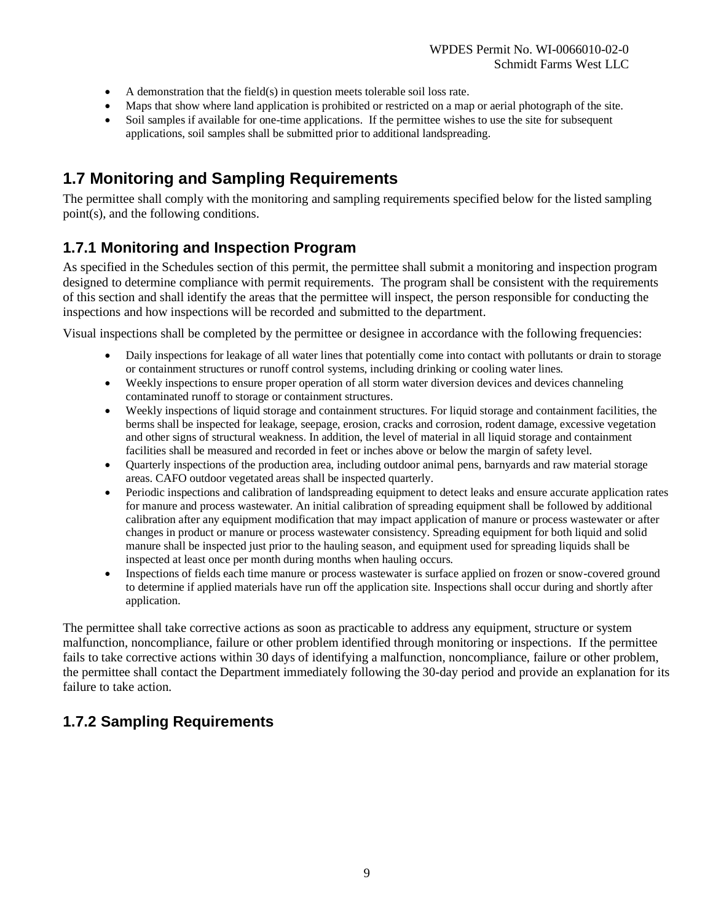- A demonstration that the field(s) in question meets tolerable soil loss rate.
- Maps that show where land application is prohibited or restricted on a map or aerial photograph of the site.
- Soil samples if available for one-time applications. If the permittee wishes to use the site for subsequent applications, soil samples shall be submitted prior to additional landspreading.

### **1.7 Monitoring and Sampling Requirements**

The permittee shall comply with the monitoring and sampling requirements specified below for the listed sampling point(s), and the following conditions.

### **1.7.1 Monitoring and Inspection Program**

As specified in the Schedules section of this permit, the permittee shall submit a monitoring and inspection program designed to determine compliance with permit requirements. The program shall be consistent with the requirements of this section and shall identify the areas that the permittee will inspect, the person responsible for conducting the inspections and how inspections will be recorded and submitted to the department.

Visual inspections shall be completed by the permittee or designee in accordance with the following frequencies:

- Daily inspections for leakage of all water lines that potentially come into contact with pollutants or drain to storage or containment structures or runoff control systems, including drinking or cooling water lines.
- Weekly inspections to ensure proper operation of all storm water diversion devices and devices channeling contaminated runoff to storage or containment structures.
- Weekly inspections of liquid storage and containment structures. For liquid storage and containment facilities, the berms shall be inspected for leakage, seepage, erosion, cracks and corrosion, rodent damage, excessive vegetation and other signs of structural weakness. In addition, the level of material in all liquid storage and containment facilities shall be measured and recorded in feet or inches above or below the margin of safety level.
- Quarterly inspections of the production area, including outdoor animal pens, barnyards and raw material storage areas. CAFO outdoor vegetated areas shall be inspected quarterly.
- Periodic inspections and calibration of landspreading equipment to detect leaks and ensure accurate application rates for manure and process wastewater. An initial calibration of spreading equipment shall be followed by additional calibration after any equipment modification that may impact application of manure or process wastewater or after changes in product or manure or process wastewater consistency. Spreading equipment for both liquid and solid manure shall be inspected just prior to the hauling season, and equipment used for spreading liquids shall be inspected at least once per month during months when hauling occurs.
- Inspections of fields each time manure or process wastewater is surface applied on frozen or snow-covered ground to determine if applied materials have run off the application site. Inspections shall occur during and shortly after application.

The permittee shall take corrective actions as soon as practicable to address any equipment, structure or system malfunction, noncompliance, failure or other problem identified through monitoring or inspections. If the permittee fails to take corrective actions within 30 days of identifying a malfunction, noncompliance, failure or other problem, the permittee shall contact the Department immediately following the 30-day period and provide an explanation for its failure to take action.

### **1.7.2 Sampling Requirements**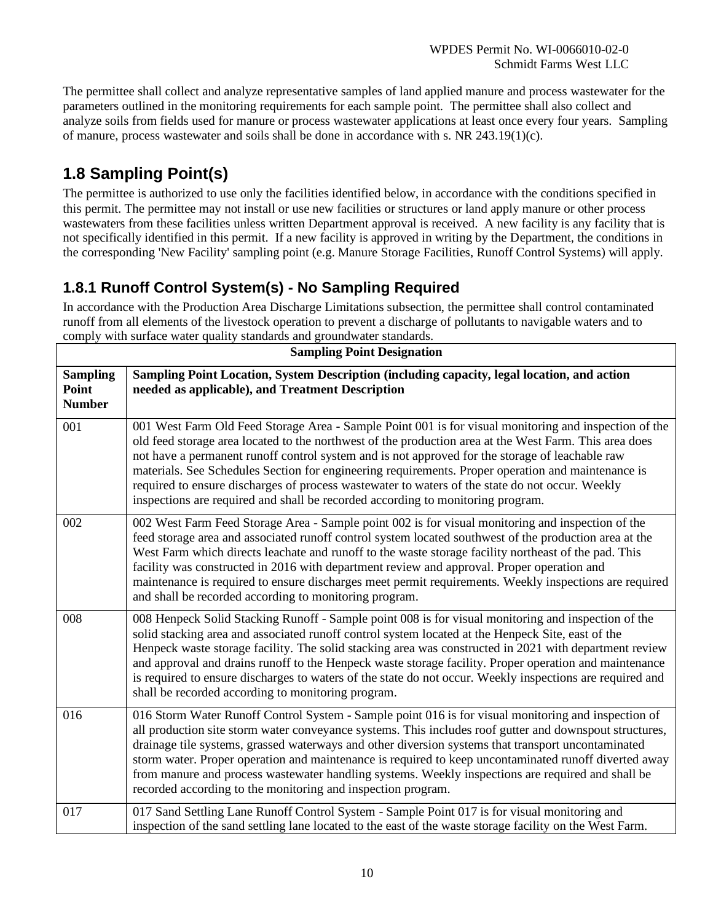WPDES Permit No. WI-0066010-02-0 Schmidt Farms West LLC

The permittee shall collect and analyze representative samples of land applied manure and process wastewater for the parameters outlined in the monitoring requirements for each sample point. The permittee shall also collect and analyze soils from fields used for manure or process wastewater applications at least once every four years. Sampling of manure, process wastewater and soils shall be done in accordance with s. NR 243.19(1)(c).

# **1.8 Sampling Point(s)**

The permittee is authorized to use only the facilities identified below, in accordance with the conditions specified in this permit. The permittee may not install or use new facilities or structures or land apply manure or other process wastewaters from these facilities unless written Department approval is received. A new facility is any facility that is not specifically identified in this permit. If a new facility is approved in writing by the Department, the conditions in the corresponding 'New Facility' sampling point (e.g. Manure Storage Facilities, Runoff Control Systems) will apply.

### **1.8.1 Runoff Control System(s) - No Sampling Required**

In accordance with the Production Area Discharge Limitations subsection, the permittee shall control contaminated runoff from all elements of the livestock operation to prevent a discharge of pollutants to navigable waters and to comply with surface water quality standards and groundwater standards.

| <b>Sampling Point Designation</b>         |                                                                                                                                                                                                                                                                                                                                                                                                                                                                                                                                                                                                                |  |
|-------------------------------------------|----------------------------------------------------------------------------------------------------------------------------------------------------------------------------------------------------------------------------------------------------------------------------------------------------------------------------------------------------------------------------------------------------------------------------------------------------------------------------------------------------------------------------------------------------------------------------------------------------------------|--|
| <b>Sampling</b><br>Point<br><b>Number</b> | Sampling Point Location, System Description (including capacity, legal location, and action<br>needed as applicable), and Treatment Description                                                                                                                                                                                                                                                                                                                                                                                                                                                                |  |
| 001                                       | 001 West Farm Old Feed Storage Area - Sample Point 001 is for visual monitoring and inspection of the<br>old feed storage area located to the northwest of the production area at the West Farm. This area does<br>not have a permanent runoff control system and is not approved for the storage of leachable raw<br>materials. See Schedules Section for engineering requirements. Proper operation and maintenance is<br>required to ensure discharges of process wastewater to waters of the state do not occur. Weekly<br>inspections are required and shall be recorded according to monitoring program. |  |
| 002                                       | 002 West Farm Feed Storage Area - Sample point 002 is for visual monitoring and inspection of the<br>feed storage area and associated runoff control system located southwest of the production area at the<br>West Farm which directs leachate and runoff to the waste storage facility northeast of the pad. This<br>facility was constructed in 2016 with department review and approval. Proper operation and<br>maintenance is required to ensure discharges meet permit requirements. Weekly inspections are required<br>and shall be recorded according to monitoring program.                          |  |
| 008                                       | 008 Henpeck Solid Stacking Runoff - Sample point 008 is for visual monitoring and inspection of the<br>solid stacking area and associated runoff control system located at the Henpeck Site, east of the<br>Henpeck waste storage facility. The solid stacking area was constructed in 2021 with department review<br>and approval and drains runoff to the Henpeck waste storage facility. Proper operation and maintenance<br>is required to ensure discharges to waters of the state do not occur. Weekly inspections are required and<br>shall be recorded according to monitoring program.                |  |
| 016                                       | 016 Storm Water Runoff Control System - Sample point 016 is for visual monitoring and inspection of<br>all production site storm water conveyance systems. This includes roof gutter and downspout structures,<br>drainage tile systems, grassed waterways and other diversion systems that transport uncontaminated<br>storm water. Proper operation and maintenance is required to keep uncontaminated runoff diverted away<br>from manure and process wastewater handling systems. Weekly inspections are required and shall be<br>recorded according to the monitoring and inspection program.             |  |
| 017                                       | 017 Sand Settling Lane Runoff Control System - Sample Point 017 is for visual monitoring and<br>inspection of the sand settling lane located to the east of the waste storage facility on the West Farm.                                                                                                                                                                                                                                                                                                                                                                                                       |  |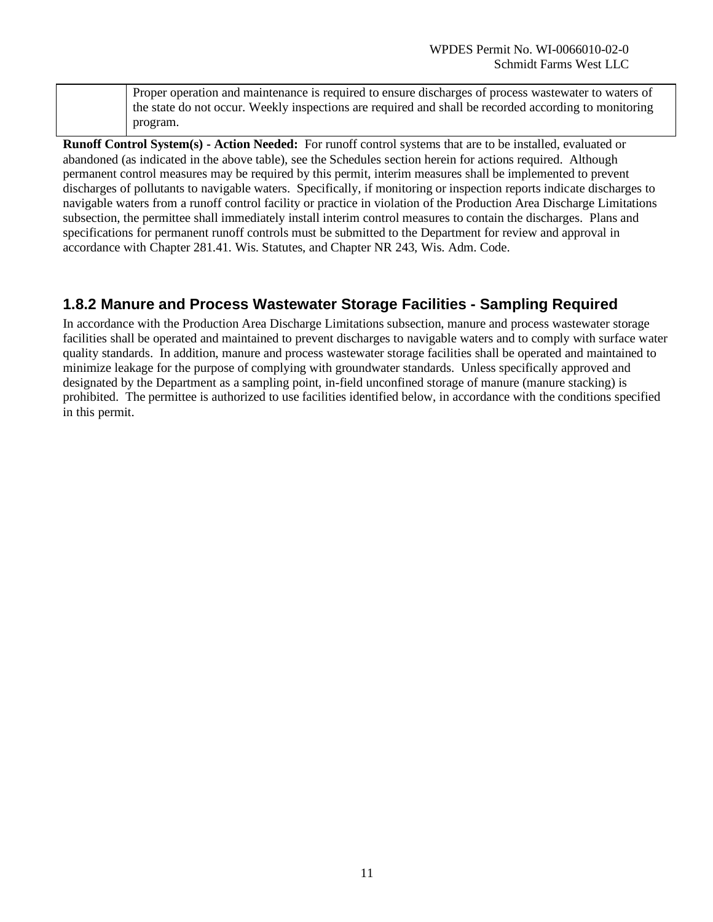Proper operation and maintenance is required to ensure discharges of process wastewater to waters of the state do not occur. Weekly inspections are required and shall be recorded according to monitoring program.

**Runoff Control System(s) - Action Needed:** For runoff control systems that are to be installed, evaluated or abandoned (as indicated in the above table), see the Schedules section herein for actions required. Although permanent control measures may be required by this permit, interim measures shall be implemented to prevent discharges of pollutants to navigable waters. Specifically, if monitoring or inspection reports indicate discharges to navigable waters from a runoff control facility or practice in violation of the Production Area Discharge Limitations subsection, the permittee shall immediately install interim control measures to contain the discharges. Plans and specifications for permanent runoff controls must be submitted to the Department for review and approval in accordance with Chapter 281.41. Wis. Statutes, and Chapter NR 243, Wis. Adm. Code.

### **1.8.2 Manure and Process Wastewater Storage Facilities - Sampling Required**

In accordance with the Production Area Discharge Limitations subsection, manure and process wastewater storage facilities shall be operated and maintained to prevent discharges to navigable waters and to comply with surface water quality standards. In addition, manure and process wastewater storage facilities shall be operated and maintained to minimize leakage for the purpose of complying with groundwater standards. Unless specifically approved and designated by the Department as a sampling point, in-field unconfined storage of manure (manure stacking) is prohibited. The permittee is authorized to use facilities identified below, in accordance with the conditions specified in this permit.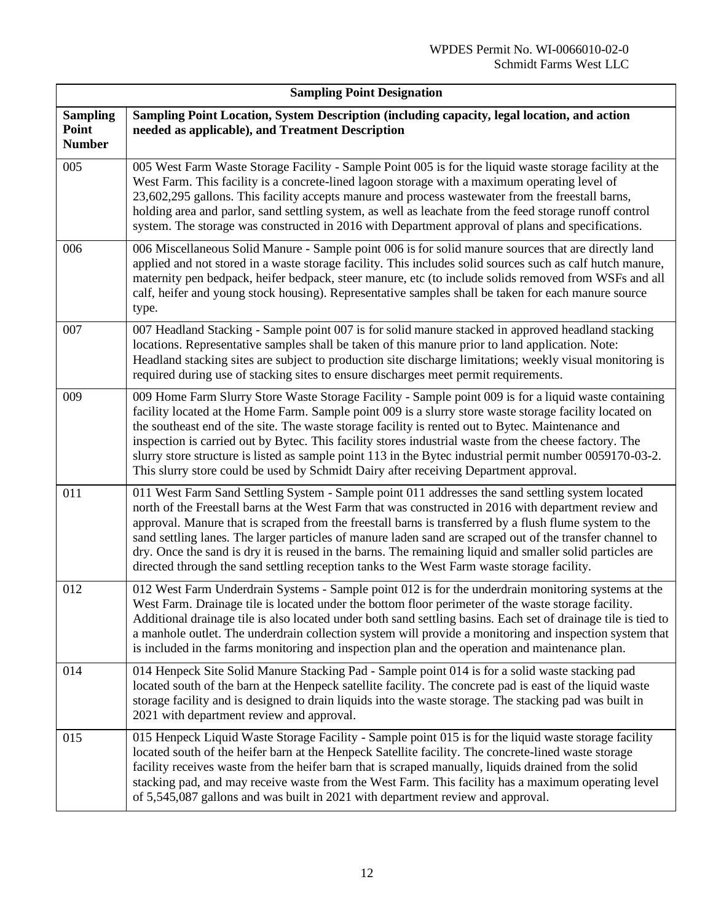| <b>Sampling Point Designation</b>         |                                                                                                                                                                                                                                                                                                                                                                                                                                                                                                                                                                                                                                               |  |
|-------------------------------------------|-----------------------------------------------------------------------------------------------------------------------------------------------------------------------------------------------------------------------------------------------------------------------------------------------------------------------------------------------------------------------------------------------------------------------------------------------------------------------------------------------------------------------------------------------------------------------------------------------------------------------------------------------|--|
| <b>Sampling</b><br>Point<br><b>Number</b> | Sampling Point Location, System Description (including capacity, legal location, and action<br>needed as applicable), and Treatment Description                                                                                                                                                                                                                                                                                                                                                                                                                                                                                               |  |
| 005                                       | 005 West Farm Waste Storage Facility - Sample Point 005 is for the liquid waste storage facility at the<br>West Farm. This facility is a concrete-lined lagoon storage with a maximum operating level of<br>23,602,295 gallons. This facility accepts manure and process wastewater from the freestall barns,<br>holding area and parlor, sand settling system, as well as leachate from the feed storage runoff control<br>system. The storage was constructed in 2016 with Department approval of plans and specifications.                                                                                                                 |  |
| 006                                       | 006 Miscellaneous Solid Manure - Sample point 006 is for solid manure sources that are directly land<br>applied and not stored in a waste storage facility. This includes solid sources such as calf hutch manure,<br>maternity pen bedpack, heifer bedpack, steer manure, etc (to include solids removed from WSFs and all<br>calf, heifer and young stock housing). Representative samples shall be taken for each manure source<br>type.                                                                                                                                                                                                   |  |
| 007                                       | 007 Headland Stacking - Sample point 007 is for solid manure stacked in approved headland stacking<br>locations. Representative samples shall be taken of this manure prior to land application. Note:<br>Headland stacking sites are subject to production site discharge limitations; weekly visual monitoring is<br>required during use of stacking sites to ensure discharges meet permit requirements.                                                                                                                                                                                                                                   |  |
| 009                                       | 009 Home Farm Slurry Store Waste Storage Facility - Sample point 009 is for a liquid waste containing<br>facility located at the Home Farm. Sample point 009 is a slurry store waste storage facility located on<br>the southeast end of the site. The waste storage facility is rented out to Bytec. Maintenance and<br>inspection is carried out by Bytec. This facility stores industrial waste from the cheese factory. The<br>slurry store structure is listed as sample point 113 in the Bytec industrial permit number 0059170-03-2.<br>This slurry store could be used by Schmidt Dairy after receiving Department approval.          |  |
| 011                                       | 011 West Farm Sand Settling System - Sample point 011 addresses the sand settling system located<br>north of the Freestall barns at the West Farm that was constructed in 2016 with department review and<br>approval. Manure that is scraped from the freestall barns is transferred by a flush flume system to the<br>sand settling lanes. The larger particles of manure laden sand are scraped out of the transfer channel to<br>dry. Once the sand is dry it is reused in the barns. The remaining liquid and smaller solid particles are<br>directed through the sand settling reception tanks to the West Farm waste storage facility. |  |
| 012                                       | 012 West Farm Underdrain Systems - Sample point 012 is for the underdrain monitoring systems at the<br>West Farm. Drainage tile is located under the bottom floor perimeter of the waste storage facility.<br>Additional drainage tile is also located under both sand settling basins. Each set of drainage tile is tied to<br>a manhole outlet. The underdrain collection system will provide a monitoring and inspection system that<br>is included in the farms monitoring and inspection plan and the operation and maintenance plan.                                                                                                    |  |
| 014                                       | 014 Henpeck Site Solid Manure Stacking Pad - Sample point 014 is for a solid waste stacking pad<br>located south of the barn at the Henpeck satellite facility. The concrete pad is east of the liquid waste<br>storage facility and is designed to drain liquids into the waste storage. The stacking pad was built in<br>2021 with department review and approval.                                                                                                                                                                                                                                                                          |  |
| 015                                       | 015 Henpeck Liquid Waste Storage Facility - Sample point 015 is for the liquid waste storage facility<br>located south of the heifer barn at the Henpeck Satellite facility. The concrete-lined waste storage<br>facility receives waste from the heifer barn that is scraped manually, liquids drained from the solid<br>stacking pad, and may receive waste from the West Farm. This facility has a maximum operating level<br>of 5,545,087 gallons and was built in 2021 with department review and approval.                                                                                                                              |  |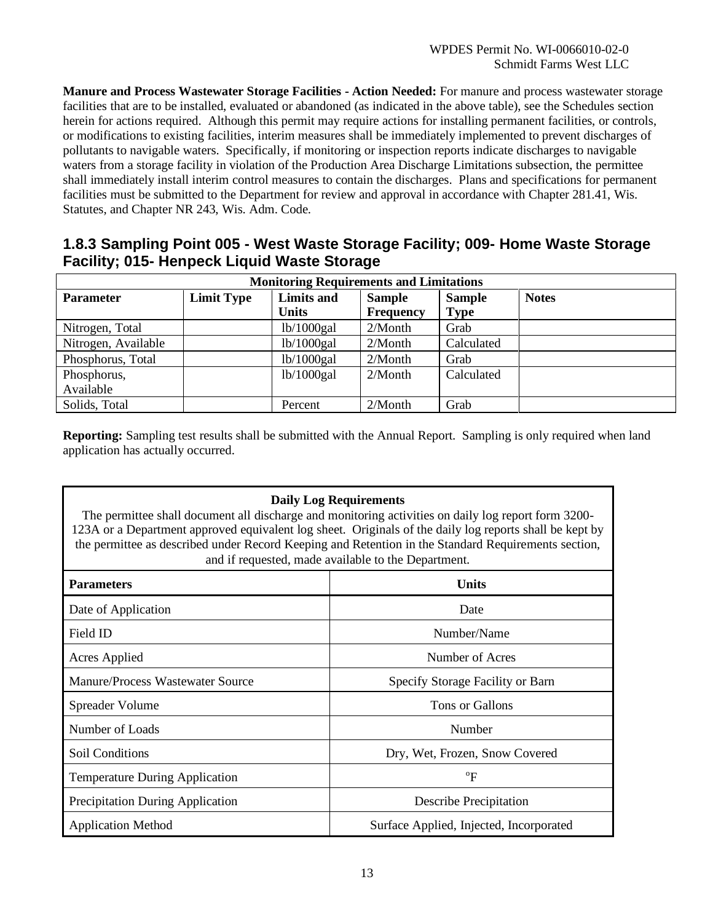**Manure and Process Wastewater Storage Facilities - Action Needed:** For manure and process wastewater storage facilities that are to be installed, evaluated or abandoned (as indicated in the above table), see the Schedules section herein for actions required. Although this permit may require actions for installing permanent facilities, or controls, or modifications to existing facilities, interim measures shall be immediately implemented to prevent discharges of pollutants to navigable waters. Specifically, if monitoring or inspection reports indicate discharges to navigable waters from a storage facility in violation of the Production Area Discharge Limitations subsection, the permittee shall immediately install interim control measures to contain the discharges. Plans and specifications for permanent facilities must be submitted to the Department for review and approval in accordance with Chapter 281.41, Wis. Statutes, and Chapter NR 243, Wis. Adm. Code.

#### **1.8.3 Sampling Point 005 - West Waste Storage Facility; 009- Home Waste Storage Facility; 015- Henpeck Liquid Waste Storage**

| <b>Monitoring Requirements and Limitations</b> |                   |                   |               |               |              |
|------------------------------------------------|-------------------|-------------------|---------------|---------------|--------------|
| <b>Parameter</b>                               | <b>Limit Type</b> | <b>Limits and</b> | <b>Sample</b> | <b>Sample</b> | <b>Notes</b> |
|                                                |                   | <b>Units</b>      | Frequency     | <b>Type</b>   |              |
| Nitrogen, Total                                |                   | lb/1000 gal       | $2/M$ onth    | Grab          |              |
| Nitrogen, Available                            |                   | lb/1000 gal       | $2/M$ onth    | Calculated    |              |
| Phosphorus, Total                              |                   | lb/1000 gal       | $2/M$ onth    | Grab          |              |
| Phosphorus,                                    |                   | lb/1000 gal       | $2/M$ onth    | Calculated    |              |
| Available                                      |                   |                   |               |               |              |
| Solids, Total                                  |                   | Percent           | $2/M$ onth    | Grab          |              |

**Reporting:** Sampling test results shall be submitted with the Annual Report. Sampling is only required when land application has actually occurred.

| <b>Daily Log Requirements</b><br>The permittee shall document all discharge and monitoring activities on daily log report form 3200-<br>123A or a Department approved equivalent log sheet. Originals of the daily log reports shall be kept by<br>the permittee as described under Record Keeping and Retention in the Standard Requirements section,<br>and if requested, made available to the Department. |                                         |  |
|---------------------------------------------------------------------------------------------------------------------------------------------------------------------------------------------------------------------------------------------------------------------------------------------------------------------------------------------------------------------------------------------------------------|-----------------------------------------|--|
| <b>Parameters</b>                                                                                                                                                                                                                                                                                                                                                                                             | <b>Units</b>                            |  |
| Date of Application                                                                                                                                                                                                                                                                                                                                                                                           | Date                                    |  |
| Field ID                                                                                                                                                                                                                                                                                                                                                                                                      | Number/Name                             |  |
| Acres Applied                                                                                                                                                                                                                                                                                                                                                                                                 | Number of Acres                         |  |
| Manure/Process Wastewater Source                                                                                                                                                                                                                                                                                                                                                                              | Specify Storage Facility or Barn        |  |
| Spreader Volume                                                                                                                                                                                                                                                                                                                                                                                               | Tons or Gallons                         |  |
| Number of Loads                                                                                                                                                                                                                                                                                                                                                                                               | Number                                  |  |
| Soil Conditions                                                                                                                                                                                                                                                                                                                                                                                               | Dry, Wet, Frozen, Snow Covered          |  |
| <b>Temperature During Application</b>                                                                                                                                                                                                                                                                                                                                                                         | $\rm ^{o}F$                             |  |
| <b>Precipitation During Application</b>                                                                                                                                                                                                                                                                                                                                                                       | <b>Describe Precipitation</b>           |  |
| <b>Application Method</b>                                                                                                                                                                                                                                                                                                                                                                                     | Surface Applied, Injected, Incorporated |  |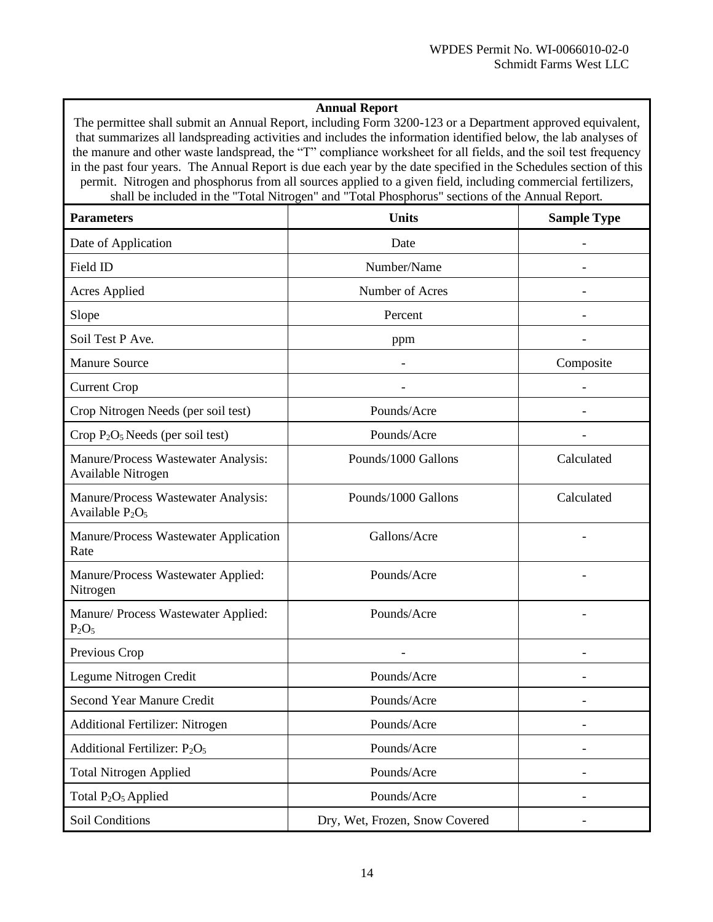#### **Annual Report**

The permittee shall submit an Annual Report, including Form 3200-123 or a Department approved equivalent, that summarizes all landspreading activities and includes the information identified below, the lab analyses of the manure and other waste landspread, the "T" compliance worksheet for all fields, and the soil test frequency in the past four years. The Annual Report is due each year by the date specified in the Schedules section of this permit. Nitrogen and phosphorus from all sources applied to a given field, including commercial fertilizers, shall be included in the "Total Nitrogen" and "Total Phosphorus" sections of the Annual Report.

| <b>Parameters</b>                                         | <b>Units</b>                   | <b>Sample Type</b> |
|-----------------------------------------------------------|--------------------------------|--------------------|
| Date of Application                                       | Date                           |                    |
| Field ID                                                  | Number/Name                    |                    |
| <b>Acres Applied</b>                                      | Number of Acres                |                    |
| Slope                                                     | Percent                        |                    |
| Soil Test P Ave.                                          | ppm                            |                    |
| <b>Manure Source</b>                                      |                                | Composite          |
| <b>Current Crop</b>                                       |                                |                    |
| Crop Nitrogen Needs (per soil test)                       | Pounds/Acre                    |                    |
| Crop $P_2O_5$ Needs (per soil test)                       | Pounds/Acre                    |                    |
| Manure/Process Wastewater Analysis:<br>Available Nitrogen | Pounds/1000 Gallons            | Calculated         |
| Manure/Process Wastewater Analysis:<br>Available $P_2O_5$ | Pounds/1000 Gallons            | Calculated         |
| Manure/Process Wastewater Application<br>Rate             | Gallons/Acre                   |                    |
| Manure/Process Wastewater Applied:<br>Nitrogen            | Pounds/Acre                    |                    |
| Manure/ Process Wastewater Applied:<br>$P_2O_5$           | Pounds/Acre                    |                    |
| Previous Crop                                             |                                |                    |
| Legume Nitrogen Credit                                    | Pounds/Acre                    |                    |
| <b>Second Year Manure Credit</b>                          | Pounds/Acre                    |                    |
| Additional Fertilizer: Nitrogen                           | Pounds/Acre                    |                    |
| Additional Fertilizer: P <sub>2</sub> O <sub>5</sub>      | Pounds/Acre                    |                    |
| <b>Total Nitrogen Applied</b>                             | Pounds/Acre                    |                    |
| Total P <sub>2</sub> O <sub>5</sub> Applied               | Pounds/Acre                    |                    |
| Soil Conditions                                           | Dry, Wet, Frozen, Snow Covered |                    |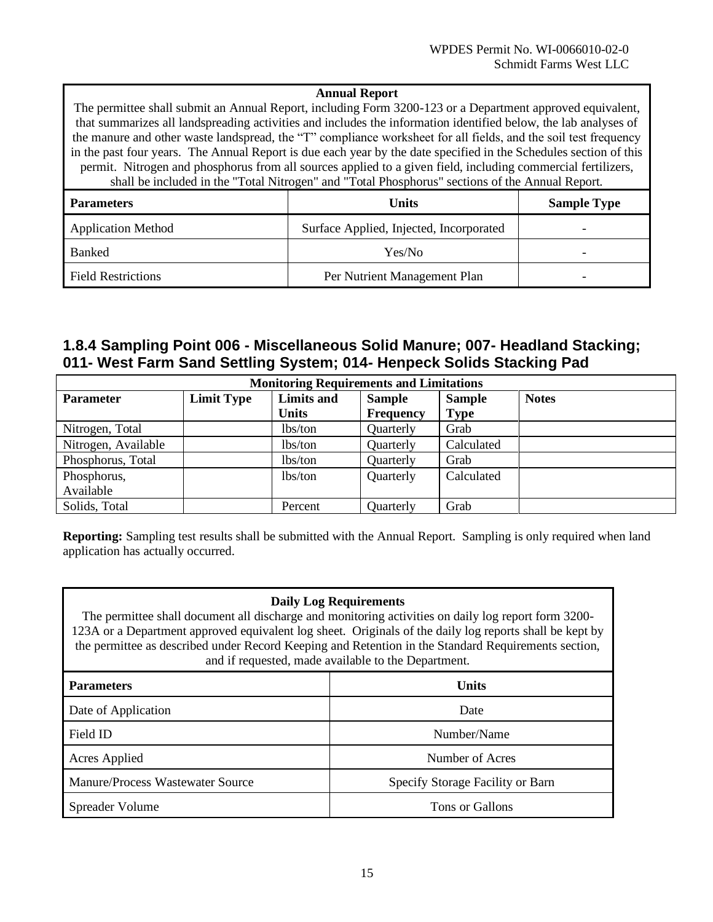#### **Annual Report**

The permittee shall submit an Annual Report, including Form 3200-123 or a Department approved equivalent, that summarizes all landspreading activities and includes the information identified below, the lab analyses of the manure and other waste landspread, the "T" compliance worksheet for all fields, and the soil test frequency in the past four years. The Annual Report is due each year by the date specified in the Schedules section of this permit. Nitrogen and phosphorus from all sources applied to a given field, including commercial fertilizers, shall be included in the "Total Nitrogen" and "Total Phosphorus" sections of the Annual Report. **Parameters Sample Type Units Units Sample Type** Application Method Surface Applied, Injected, Incorporated -Banked Press, 2008, 2008, 2008, 2008, 2008, 2008, 2008, 2008, 2008, 2008, 2008, 2008, 2008, 2008, 2008, 2008, 2009, 2008, 2009, 2008, 2009, 2008, 2009, 2008, 2009, 2008, 2009, 2009, 2009, 2009, 2009, 2009, 2009, 2009, 2009

| ----------                | <b>AUDIA 10</b>              |  |
|---------------------------|------------------------------|--|
| <b>Field Restrictions</b> | Per Nutrient Management Plan |  |

#### **1.8.4 Sampling Point 006 - Miscellaneous Solid Manure; 007- Headland Stacking; 011- West Farm Sand Settling System; 014- Henpeck Solids Stacking Pad**

| <b>Monitoring Requirements and Limitations</b> |                   |                   |                  |               |              |
|------------------------------------------------|-------------------|-------------------|------------------|---------------|--------------|
| <b>Parameter</b>                               | <b>Limit Type</b> | <b>Limits and</b> | <b>Sample</b>    | <b>Sample</b> | <b>Notes</b> |
|                                                |                   | <b>Units</b>      | <b>Frequency</b> | <b>Type</b>   |              |
| Nitrogen, Total                                |                   | lbs/ton           | Quarterly        | Grab          |              |
| Nitrogen, Available                            |                   | lbs/ton           | Quarterly        | Calculated    |              |
| Phosphorus, Total                              |                   | lbs/ton           | Quarterly        | Grab          |              |
| Phosphorus,                                    |                   | lbs/ton           | Quarterly        | Calculated    |              |
| Available                                      |                   |                   |                  |               |              |
| Solids, Total                                  |                   | Percent           | Quarterly        | Grab          |              |

**Reporting:** Sampling test results shall be submitted with the Annual Report. Sampling is only required when land application has actually occurred.

#### **Daily Log Requirements**

The permittee shall document all discharge and monitoring activities on daily log report form 3200- 123A or a Department approved equivalent log sheet. Originals of the daily log reports shall be kept by the permittee as described under Record Keeping and Retention in the Standard Requirements section, and if requested, made available to the Department.

| <b>Parameters</b>                | Units                            |
|----------------------------------|----------------------------------|
| Date of Application              | Date                             |
| Field ID                         | Number/Name                      |
| <b>Acres Applied</b>             | Number of Acres                  |
| Manure/Process Wastewater Source | Specify Storage Facility or Barn |
| Spreader Volume                  | Tons or Gallons                  |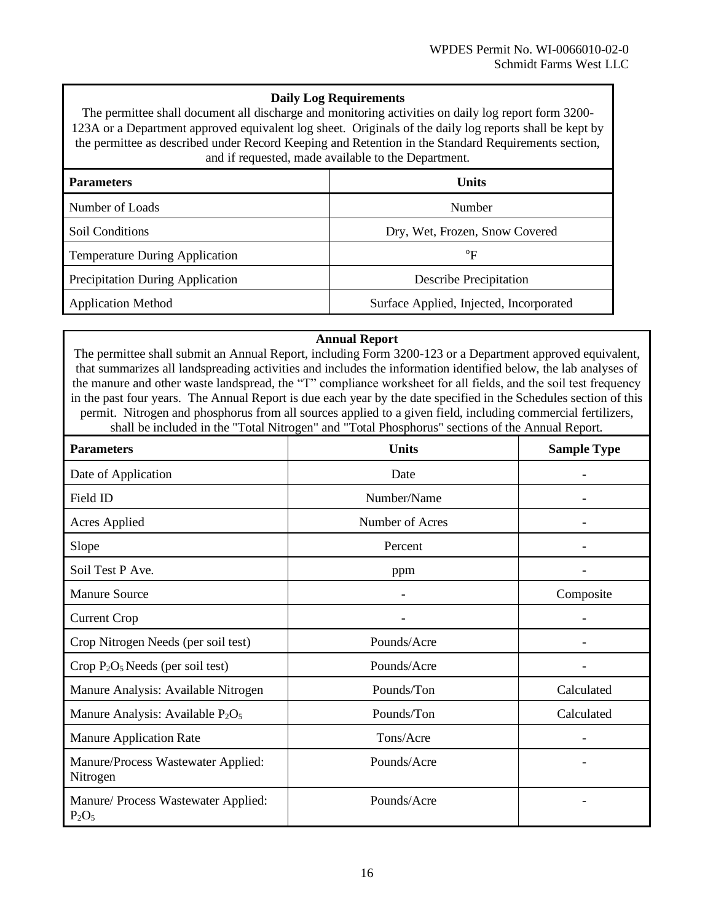#### **Daily Log Requirements**

The permittee shall document all discharge and monitoring activities on daily log report form 3200- 123A or a Department approved equivalent log sheet. Originals of the daily log reports shall be kept by the permittee as described under Record Keeping and Retention in the Standard Requirements section, and if requested, made available to the Department.

| <b>Parameters</b>                     | Units                                   |  |  |
|---------------------------------------|-----------------------------------------|--|--|
| Number of Loads                       | Number                                  |  |  |
| Soil Conditions                       | Dry, Wet, Frozen, Snow Covered          |  |  |
| <b>Temperature During Application</b> | $\mathrm{^{o}F}$                        |  |  |
| Precipitation During Application      | <b>Describe Precipitation</b>           |  |  |
| <b>Application Method</b>             | Surface Applied, Injected, Incorporated |  |  |

#### **Annual Report**

The permittee shall submit an Annual Report, including Form 3200-123 or a Department approved equivalent, that summarizes all landspreading activities and includes the information identified below, the lab analyses of the manure and other waste landspread, the "T" compliance worksheet for all fields, and the soil test frequency in the past four years. The Annual Report is due each year by the date specified in the Schedules section of this permit. Nitrogen and phosphorus from all sources applied to a given field, including commercial fertilizers, shall be included in the "Total Nitrogen" and "Total Phosphorus" sections of the Annual Report.

| <b>Parameters</b>                                        | <b>Units</b>    | <b>Sample Type</b>       |
|----------------------------------------------------------|-----------------|--------------------------|
| Date of Application                                      | Date            |                          |
| Field ID                                                 | Number/Name     |                          |
| <b>Acres Applied</b>                                     | Number of Acres |                          |
| Slope                                                    | Percent         |                          |
| Soil Test P Ave.                                         | ppm             |                          |
| <b>Manure Source</b>                                     |                 | Composite                |
| <b>Current Crop</b>                                      |                 |                          |
| Crop Nitrogen Needs (per soil test)                      | Pounds/Acre     |                          |
| Crop P <sub>2</sub> O <sub>5</sub> Needs (per soil test) | Pounds/Acre     |                          |
| Manure Analysis: Available Nitrogen                      | Pounds/Ton      | Calculated               |
| Manure Analysis: Available P <sub>2</sub> O <sub>5</sub> | Pounds/Ton      | Calculated               |
| <b>Manure Application Rate</b>                           | Tons/Acre       | $\overline{\phantom{a}}$ |
| Manure/Process Wastewater Applied:<br>Nitrogen           | Pounds/Acre     | $\overline{\phantom{a}}$ |
| Manure/ Process Wastewater Applied:<br>$P_2O_5$          | Pounds/Acre     | -                        |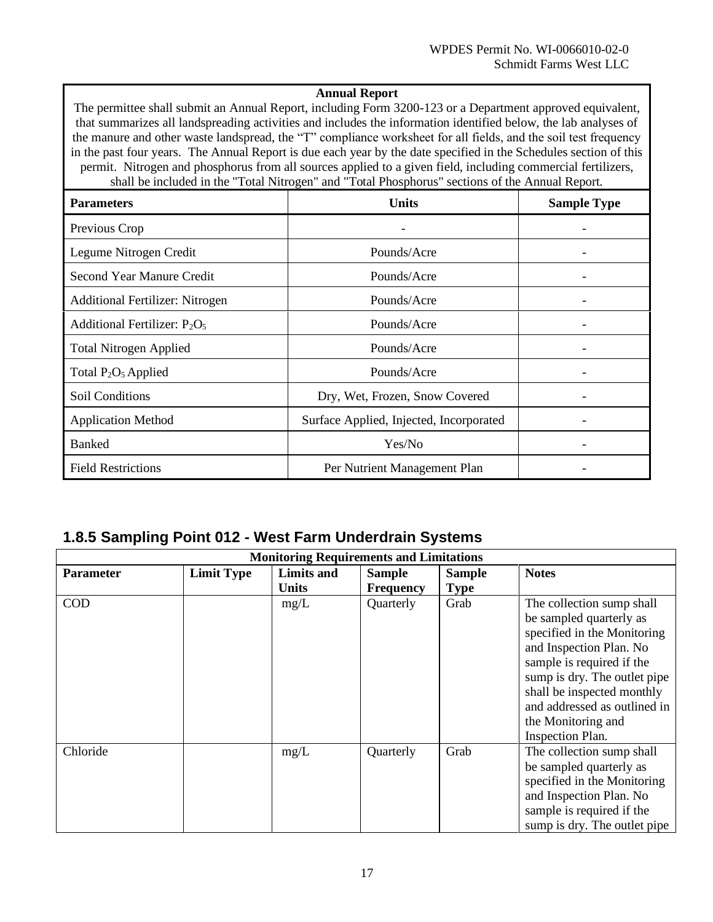#### **Annual Report**

The permittee shall submit an Annual Report, including Form 3200-123 or a Department approved equivalent, that summarizes all landspreading activities and includes the information identified below, the lab analyses of the manure and other waste landspread, the "T" compliance worksheet for all fields, and the soil test frequency in the past four years. The Annual Report is due each year by the date specified in the Schedules section of this permit. Nitrogen and phosphorus from all sources applied to a given field, including commercial fertilizers, shall be included in the "Total Nitrogen" and "Total Phosphorus" sections of the Annual Report.

| <b>Parameters</b>                      | <b>Units</b>                            | <b>Sample Type</b> |
|----------------------------------------|-----------------------------------------|--------------------|
| Previous Crop                          |                                         |                    |
| Legume Nitrogen Credit                 | Pounds/Acre                             |                    |
| Second Year Manure Credit              | Pounds/Acre                             |                    |
| <b>Additional Fertilizer: Nitrogen</b> | Pounds/Acre                             |                    |
| Additional Fertilizer: $P_2O_5$        | Pounds/Acre                             |                    |
| <b>Total Nitrogen Applied</b>          | Pounds/Acre                             |                    |
| Total $P_2O_5$ Applied                 | Pounds/Acre                             |                    |
| Soil Conditions                        | Dry, Wet, Frozen, Snow Covered          |                    |
| <b>Application Method</b>              | Surface Applied, Injected, Incorporated | $\qquad \qquad -$  |
| <b>Banked</b>                          | Yes/No                                  | -                  |
| <b>Field Restrictions</b>              | Per Nutrient Management Plan            |                    |

#### **1.8.5 Sampling Point 012 - West Farm Underdrain Systems**

| <b>Monitoring Requirements and Limitations</b> |                   |                                   |                                   |                              |                                                                                                                                                                                                                                                                                            |
|------------------------------------------------|-------------------|-----------------------------------|-----------------------------------|------------------------------|--------------------------------------------------------------------------------------------------------------------------------------------------------------------------------------------------------------------------------------------------------------------------------------------|
| <b>Parameter</b>                               | <b>Limit Type</b> | <b>Limits and</b><br><b>Units</b> | <b>Sample</b><br><b>Frequency</b> | <b>Sample</b><br><b>Type</b> | <b>Notes</b>                                                                                                                                                                                                                                                                               |
| <b>COD</b>                                     |                   | mg/L                              | Quarterly                         | Grab                         | The collection sump shall<br>be sampled quarterly as<br>specified in the Monitoring<br>and Inspection Plan. No<br>sample is required if the<br>sump is dry. The outlet pipe<br>shall be inspected monthly<br>and addressed as outlined in<br>the Monitoring and<br><b>Inspection Plan.</b> |
| Chloride                                       |                   | mg/L                              | Quarterly                         | Grab                         | The collection sump shall<br>be sampled quarterly as<br>specified in the Monitoring<br>and Inspection Plan. No<br>sample is required if the<br>sump is dry. The outlet pipe                                                                                                                |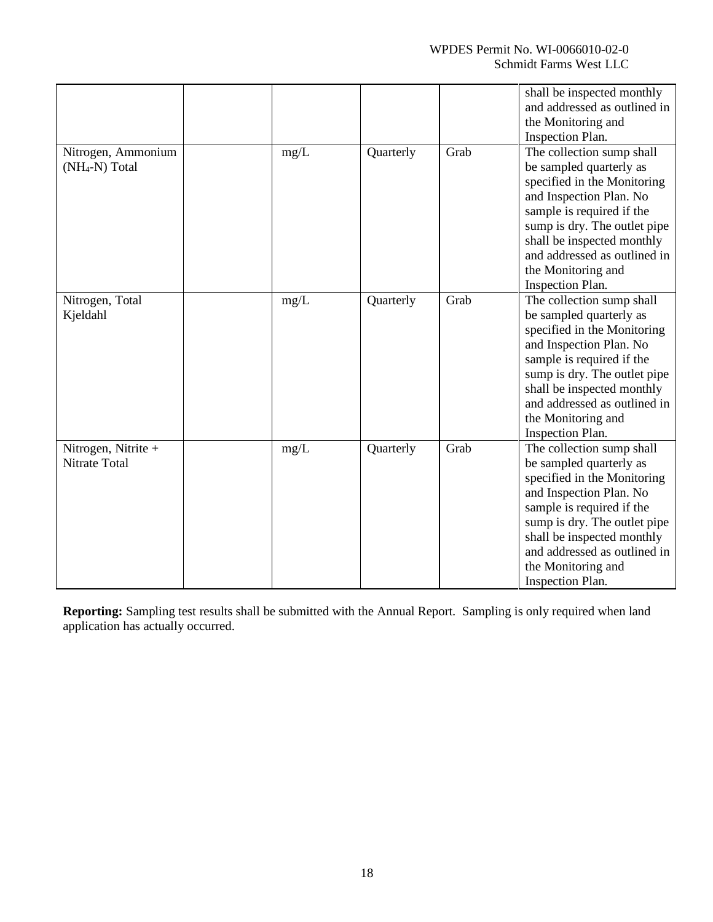|                                                  |      |           |      | shall be inspected monthly<br>and addressed as outlined in<br>the Monitoring and<br><b>Inspection Plan.</b>                                                                                                                                                                                |
|--------------------------------------------------|------|-----------|------|--------------------------------------------------------------------------------------------------------------------------------------------------------------------------------------------------------------------------------------------------------------------------------------------|
| Nitrogen, Ammonium<br>(NH <sub>4</sub> -N) Total | mg/L | Quarterly | Grab | The collection sump shall<br>be sampled quarterly as<br>specified in the Monitoring<br>and Inspection Plan. No<br>sample is required if the<br>sump is dry. The outlet pipe<br>shall be inspected monthly<br>and addressed as outlined in<br>the Monitoring and<br><b>Inspection Plan.</b> |
| Nitrogen, Total<br>Kjeldahl                      | mg/L | Quarterly | Grab | The collection sump shall<br>be sampled quarterly as<br>specified in the Monitoring<br>and Inspection Plan. No<br>sample is required if the<br>sump is dry. The outlet pipe<br>shall be inspected monthly<br>and addressed as outlined in<br>the Monitoring and<br><b>Inspection Plan.</b> |
| Nitrogen, Nitrite +<br>Nitrate Total             | mg/L | Quarterly | Grab | The collection sump shall<br>be sampled quarterly as<br>specified in the Monitoring<br>and Inspection Plan. No<br>sample is required if the<br>sump is dry. The outlet pipe<br>shall be inspected monthly<br>and addressed as outlined in<br>the Monitoring and<br><b>Inspection Plan.</b> |

**Reporting:** Sampling test results shall be submitted with the Annual Report. Sampling is only required when land application has actually occurred.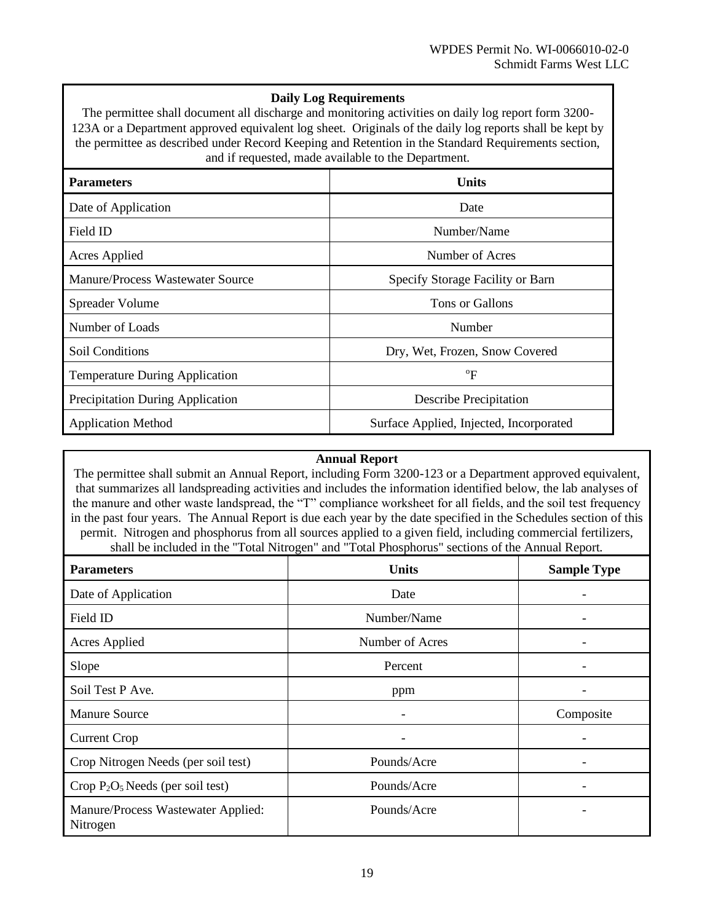#### **Daily Log Requirements**

The permittee shall document all discharge and monitoring activities on daily log report form 3200- 123A or a Department approved equivalent log sheet. Originals of the daily log reports shall be kept by the permittee as described under Record Keeping and Retention in the Standard Requirements section, and if requested, made available to the Department.

| <b>Parameters</b>                     | <b>Units</b>                            |
|---------------------------------------|-----------------------------------------|
| Date of Application                   | Date                                    |
| Field ID                              | Number/Name                             |
| Acres Applied                         | Number of Acres                         |
| Manure/Process Wastewater Source      | Specify Storage Facility or Barn        |
| Spreader Volume                       | Tons or Gallons                         |
| Number of Loads                       | Number                                  |
| Soil Conditions                       | Dry, Wet, Frozen, Snow Covered          |
| <b>Temperature During Application</b> | $\rm ^{o}F$                             |
| Precipitation During Application      | <b>Describe Precipitation</b>           |
| <b>Application Method</b>             | Surface Applied, Injected, Incorporated |

#### **Annual Report**

The permittee shall submit an Annual Report, including Form 3200-123 or a Department approved equivalent, that summarizes all landspreading activities and includes the information identified below, the lab analyses of the manure and other waste landspread, the "T" compliance worksheet for all fields, and the soil test frequency in the past four years. The Annual Report is due each year by the date specified in the Schedules section of this permit. Nitrogen and phosphorus from all sources applied to a given field, including commercial fertilizers, shall be included in the "Total Nitrogen" and "Total Phosphorus" sections of the Annual Report.

| <b>Parameters</b>                              | <b>Units</b>    | <b>Sample Type</b> |
|------------------------------------------------|-----------------|--------------------|
| Date of Application                            | Date            | ٠                  |
| Field ID                                       | Number/Name     | -                  |
| <b>Acres Applied</b>                           | Number of Acres | -                  |
| Slope                                          | Percent         | -                  |
| Soil Test P Ave.                               | ppm             | -                  |
| <b>Manure Source</b>                           |                 | Composite          |
| <b>Current Crop</b>                            |                 |                    |
| Crop Nitrogen Needs (per soil test)            | Pounds/Acre     | -                  |
| Crop $P_2O_5$ Needs (per soil test)            | Pounds/Acre     | -                  |
| Manure/Process Wastewater Applied:<br>Nitrogen | Pounds/Acre     | -                  |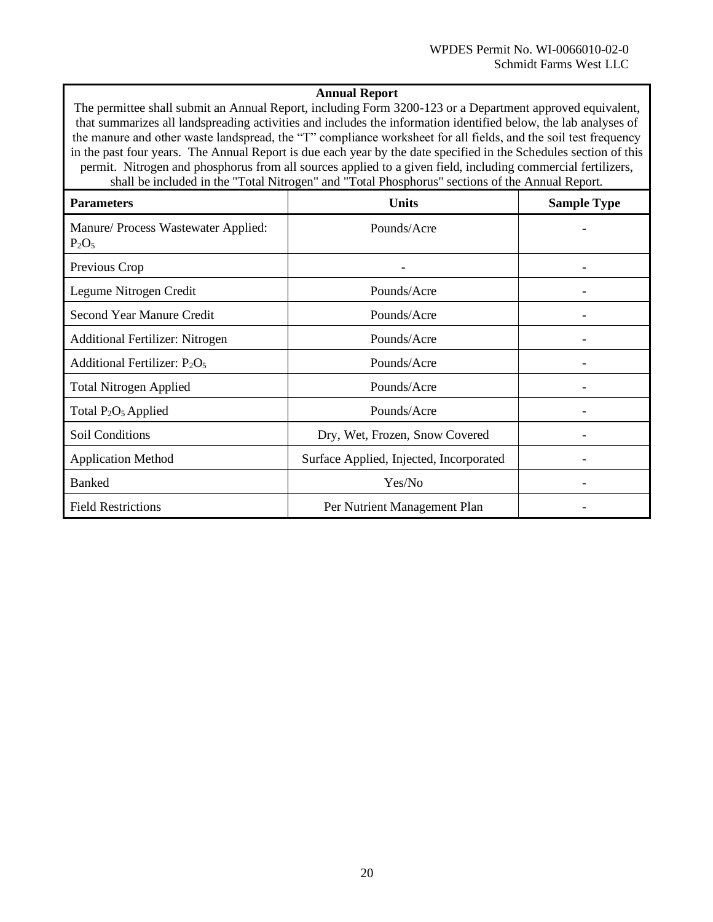#### **Annual Report**

The permittee shall submit an Annual Report, including Form 3200-123 or a Department approved equivalent, that summarizes all landspreading activities and includes the information identified below, the lab analyses of the manure and other waste landspread, the "T" compliance worksheet for all fields, and the soil test frequency in the past four years. The Annual Report is due each year by the date specified in the Schedules section of this permit. Nitrogen and phosphorus from all sources applied to a given field, including commercial fertilizers, shall be included in the "Total Nitrogen" and "Total Phosphorus" sections of the Annual Report.

| <b>Parameters</b>                               | Units                                   | <b>Sample Type</b> |
|-------------------------------------------------|-----------------------------------------|--------------------|
| Manure/ Process Wastewater Applied:<br>$P_2O_5$ | Pounds/Acre                             |                    |
| Previous Crop                                   |                                         |                    |
| Legume Nitrogen Credit                          | Pounds/Acre                             |                    |
| Second Year Manure Credit                       | Pounds/Acre                             |                    |
| <b>Additional Fertilizer: Nitrogen</b>          | Pounds/Acre                             |                    |
| Additional Fertilizer: $P_2O_5$                 | Pounds/Acre                             |                    |
| <b>Total Nitrogen Applied</b>                   | Pounds/Acre                             |                    |
| Total P <sub>2</sub> O <sub>5</sub> Applied     | Pounds/Acre                             |                    |
| <b>Soil Conditions</b>                          | Dry, Wet, Frozen, Snow Covered          |                    |
| <b>Application Method</b>                       | Surface Applied, Injected, Incorporated |                    |
| <b>Banked</b>                                   | Yes/No                                  |                    |
| <b>Field Restrictions</b>                       | Per Nutrient Management Plan            |                    |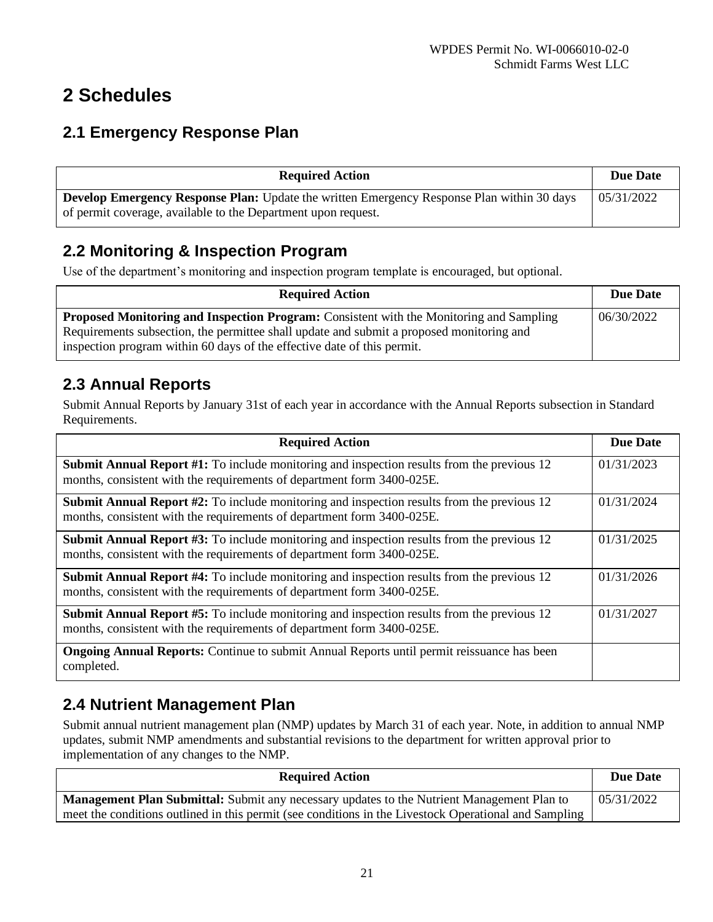# **2 Schedules**

### **2.1 Emergency Response Plan**

| <b>Required Action</b>                                                                            |            |  |
|---------------------------------------------------------------------------------------------------|------------|--|
| <b>Develop Emergency Response Plan:</b> Update the written Emergency Response Plan within 30 days | 05/31/2022 |  |
| of permit coverage, available to the Department upon request.                                     |            |  |

### **2.2 Monitoring & Inspection Program**

Use of the department's monitoring and inspection program template is encouraged, but optional.

| <b>Required Action</b>                                                                                                                                                                                                                                                | <b>Due Date</b> |
|-----------------------------------------------------------------------------------------------------------------------------------------------------------------------------------------------------------------------------------------------------------------------|-----------------|
| <b>Proposed Monitoring and Inspection Program:</b> Consistent with the Monitoring and Sampling<br>Requirements subsection, the permittee shall update and submit a proposed monitoring and<br>inspection program within 60 days of the effective date of this permit. | 06/30/2022      |

### **2.3 Annual Reports**

Submit Annual Reports by January 31st of each year in accordance with the Annual Reports subsection in Standard Requirements.

| <b>Required Action</b>                                                                                                                                                        | <b>Due Date</b> |
|-------------------------------------------------------------------------------------------------------------------------------------------------------------------------------|-----------------|
| <b>Submit Annual Report #1:</b> To include monitoring and inspection results from the previous 12<br>months, consistent with the requirements of department form 3400-025E.   | 01/31/2023      |
| <b>Submit Annual Report #2:</b> To include monitoring and inspection results from the previous $12$<br>months, consistent with the requirements of department form 3400-025E. | 01/31/2024      |
| <b>Submit Annual Report #3:</b> To include monitoring and inspection results from the previous $12$<br>months, consistent with the requirements of department form 3400-025E. | 01/31/2025      |
| <b>Submit Annual Report #4:</b> To include monitoring and inspection results from the previous 12<br>months, consistent with the requirements of department form 3400-025E.   |                 |
| <b>Submit Annual Report #5:</b> To include monitoring and inspection results from the previous 12<br>months, consistent with the requirements of department form 3400-025E.   |                 |
| <b>Ongoing Annual Reports:</b> Continue to submit Annual Reports until permit reissuance has been<br>completed.                                                               |                 |

## **2.4 Nutrient Management Plan**

Submit annual nutrient management plan (NMP) updates by March 31 of each year. Note, in addition to annual NMP updates, submit NMP amendments and substantial revisions to the department for written approval prior to implementation of any changes to the NMP.

| <b>Required Action</b>                                                                                | Due Date   |
|-------------------------------------------------------------------------------------------------------|------------|
| <b>Management Plan Submittal:</b> Submit any necessary updates to the Nutrient Management Plan to     | 05/31/2022 |
| meet the conditions outlined in this permit (see conditions in the Livestock Operational and Sampling |            |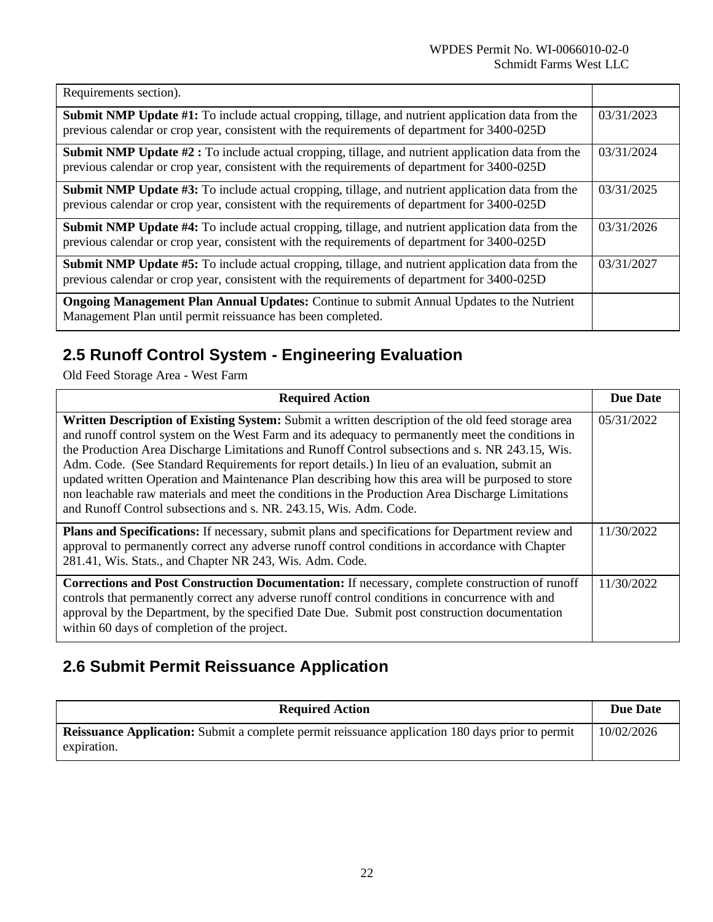| Requirements section).                                                                                                                                                                                                 |            |
|------------------------------------------------------------------------------------------------------------------------------------------------------------------------------------------------------------------------|------------|
| <b>Submit NMP Update #1:</b> To include actual cropping, tillage, and nutrient application data from the<br>previous calendar or crop year, consistent with the requirements of department for 3400-025D               | 03/31/2023 |
| <b>Submit NMP Update <math>#2</math>:</b> To include actual cropping, tillage, and nutrient application data from the<br>previous calendar or crop year, consistent with the requirements of department for 3400-025D  |            |
| <b>Submit NMP Update #3:</b> To include actual cropping, tillage, and nutrient application data from the<br>03/31/2025<br>previous calendar or crop year, consistent with the requirements of department for 3400-025D |            |
| <b>Submit NMP Update #4:</b> To include actual cropping, tillage, and nutrient application data from the<br>previous calendar or crop year, consistent with the requirements of department for 3400-025D               | 03/31/2026 |
| <b>Submit NMP Update #5:</b> To include actual cropping, tillage, and nutrient application data from the<br>previous calendar or crop year, consistent with the requirements of department for 3400-025D               |            |
| <b>Ongoing Management Plan Annual Updates:</b> Continue to submit Annual Updates to the Nutrient<br>Management Plan until permit reissuance has been completed.                                                        |            |

# **2.5 Runoff Control System - Engineering Evaluation**

Old Feed Storage Area - West Farm

| <b>Required Action</b>                                                                                                                                                                                                                                                                                                                                                                                                                                                                                                                                                                                                                                                                    | <b>Due Date</b> |
|-------------------------------------------------------------------------------------------------------------------------------------------------------------------------------------------------------------------------------------------------------------------------------------------------------------------------------------------------------------------------------------------------------------------------------------------------------------------------------------------------------------------------------------------------------------------------------------------------------------------------------------------------------------------------------------------|-----------------|
| Written Description of Existing System: Submit a written description of the old feed storage area<br>and runoff control system on the West Farm and its adequacy to permanently meet the conditions in<br>the Production Area Discharge Limitations and Runoff Control subsections and s. NR 243.15, Wis.<br>Adm. Code. (See Standard Requirements for report details.) In lieu of an evaluation, submit an<br>updated written Operation and Maintenance Plan describing how this area will be purposed to store<br>non leachable raw materials and meet the conditions in the Production Area Discharge Limitations<br>and Runoff Control subsections and s. NR. 243.15, Wis. Adm. Code. | 05/31/2022      |
| <b>Plans and Specifications:</b> If necessary, submit plans and specifications for Department review and<br>approval to permanently correct any adverse runoff control conditions in accordance with Chapter<br>281.41, Wis. Stats., and Chapter NR 243, Wis. Adm. Code.                                                                                                                                                                                                                                                                                                                                                                                                                  | 11/30/2022      |
| <b>Corrections and Post Construction Documentation:</b> If necessary, complete construction of runoff<br>controls that permanently correct any adverse runoff control conditions in concurrence with and<br>approval by the Department, by the specified Date Due. Submit post construction documentation<br>within 60 days of completion of the project.                                                                                                                                                                                                                                                                                                                                 | 11/30/2022      |

# **2.6 Submit Permit Reissuance Application**

| <b>Required Action</b>                                                                                                 | <b>Due Date</b> |
|------------------------------------------------------------------------------------------------------------------------|-----------------|
| <b>Reissuance Application:</b> Submit a complete permit reissuance application 180 days prior to permit<br>expiration. | 10/02/2026      |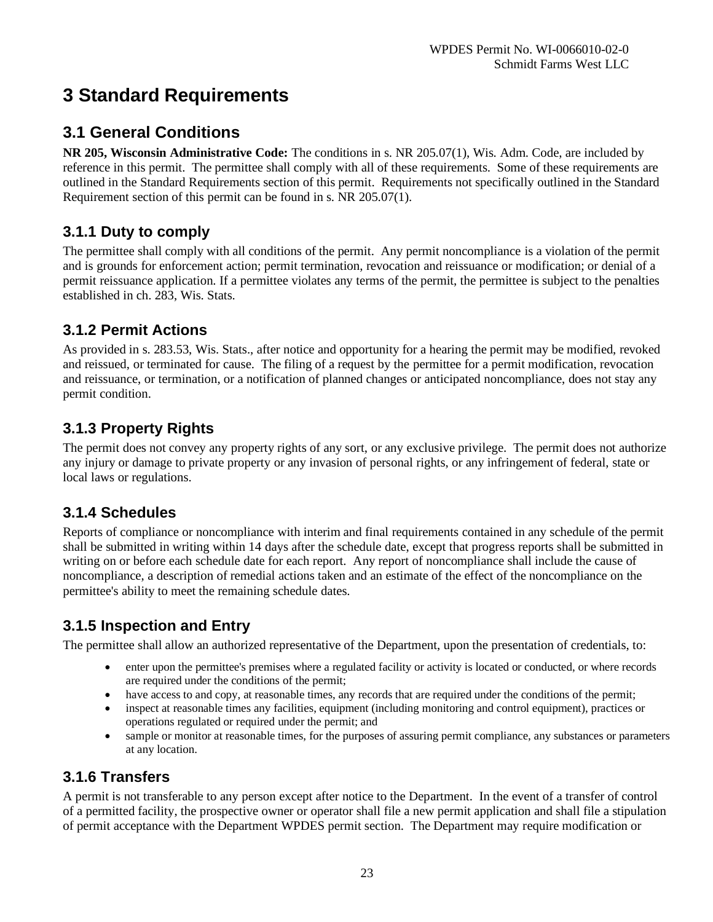# **3 Standard Requirements**

### **3.1 General Conditions**

**NR 205, Wisconsin Administrative Code:** The conditions in s. NR 205.07(1), Wis. Adm. Code, are included by reference in this permit. The permittee shall comply with all of these requirements. Some of these requirements are outlined in the Standard Requirements section of this permit. Requirements not specifically outlined in the Standard Requirement section of this permit can be found in s. NR 205.07(1).

### **3.1.1 Duty to comply**

The permittee shall comply with all conditions of the permit. Any permit noncompliance is a violation of the permit and is grounds for enforcement action; permit termination, revocation and reissuance or modification; or denial of a permit reissuance application. If a permittee violates any terms of the permit, the permittee is subject to the penalties established in ch. 283, Wis. Stats.

### **3.1.2 Permit Actions**

As provided in s. 283.53, Wis. Stats., after notice and opportunity for a hearing the permit may be modified, revoked and reissued, or terminated for cause. The filing of a request by the permittee for a permit modification, revocation and reissuance, or termination, or a notification of planned changes or anticipated noncompliance, does not stay any permit condition.

### **3.1.3 Property Rights**

The permit does not convey any property rights of any sort, or any exclusive privilege. The permit does not authorize any injury or damage to private property or any invasion of personal rights, or any infringement of federal, state or local laws or regulations.

### **3.1.4 Schedules**

Reports of compliance or noncompliance with interim and final requirements contained in any schedule of the permit shall be submitted in writing within 14 days after the schedule date, except that progress reports shall be submitted in writing on or before each schedule date for each report. Any report of noncompliance shall include the cause of noncompliance, a description of remedial actions taken and an estimate of the effect of the noncompliance on the permittee's ability to meet the remaining schedule dates.

### **3.1.5 Inspection and Entry**

The permittee shall allow an authorized representative of the Department, upon the presentation of credentials, to:

- enter upon the permittee's premises where a regulated facility or activity is located or conducted, or where records are required under the conditions of the permit;
- have access to and copy, at reasonable times, any records that are required under the conditions of the permit;
- inspect at reasonable times any facilities, equipment (including monitoring and control equipment), practices or operations regulated or required under the permit; and
- sample or monitor at reasonable times, for the purposes of assuring permit compliance, any substances or parameters at any location.

### **3.1.6 Transfers**

A permit is not transferable to any person except after notice to the Department. In the event of a transfer of control of a permitted facility, the prospective owner or operator shall file a new permit application and shall file a stipulation of permit acceptance with the Department WPDES permit section. The Department may require modification or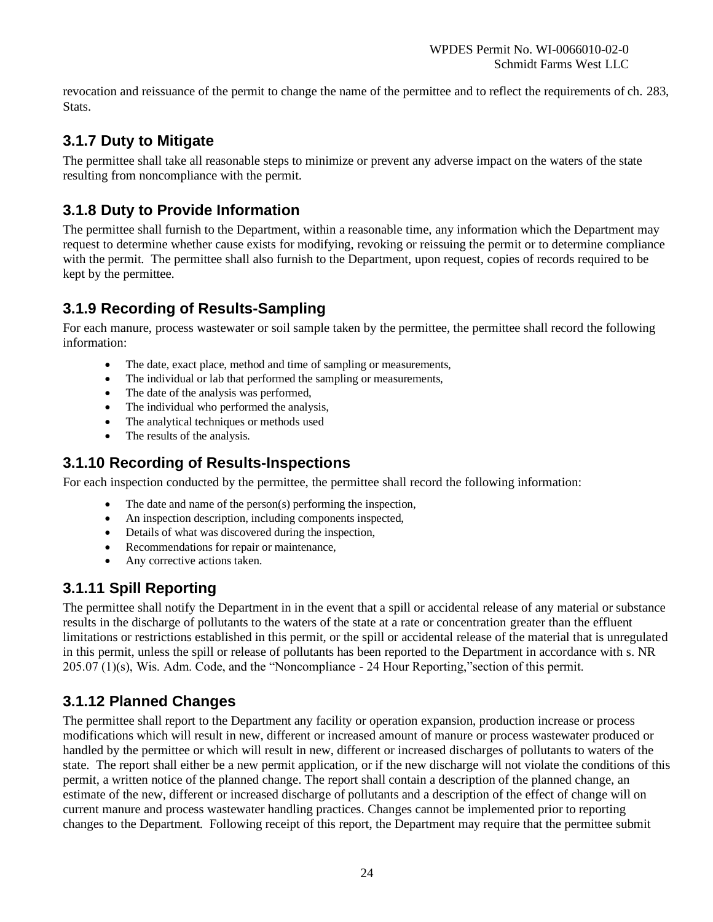revocation and reissuance of the permit to change the name of the permittee and to reflect the requirements of ch. 283, Stats.

### **3.1.7 Duty to Mitigate**

The permittee shall take all reasonable steps to minimize or prevent any adverse impact on the waters of the state resulting from noncompliance with the permit.

### **3.1.8 Duty to Provide Information**

The permittee shall furnish to the Department, within a reasonable time, any information which the Department may request to determine whether cause exists for modifying, revoking or reissuing the permit or to determine compliance with the permit. The permittee shall also furnish to the Department, upon request, copies of records required to be kept by the permittee.

### **3.1.9 Recording of Results-Sampling**

For each manure, process wastewater or soil sample taken by the permittee, the permittee shall record the following information:

- The date, exact place, method and time of sampling or measurements,
- The individual or lab that performed the sampling or measurements,
- The date of the analysis was performed,
- The individual who performed the analysis,
- The analytical techniques or methods used
- The results of the analysis.

### **3.1.10 Recording of Results-Inspections**

For each inspection conducted by the permittee, the permittee shall record the following information:

- The date and name of the person $(s)$  performing the inspection,
- An inspection description, including components inspected,
- Details of what was discovered during the inspection,
- Recommendations for repair or maintenance,
- Any corrective actions taken.

### **3.1.11 Spill Reporting**

The permittee shall notify the Department in in the event that a spill or accidental release of any material or substance results in the discharge of pollutants to the waters of the state at a rate or concentration greater than the effluent limitations or restrictions established in this permit, or the spill or accidental release of the material that is unregulated in this permit, unless the spill or release of pollutants has been reported to the Department in accordance with s. NR 205.07 (1)(s), Wis. Adm. Code, and the "Noncompliance - 24 Hour Reporting,"section of this permit.

### **3.1.12 Planned Changes**

The permittee shall report to the Department any facility or operation expansion, production increase or process modifications which will result in new, different or increased amount of manure or process wastewater produced or handled by the permittee or which will result in new, different or increased discharges of pollutants to waters of the state. The report shall either be a new permit application, or if the new discharge will not violate the conditions of this permit, a written notice of the planned change. The report shall contain a description of the planned change, an estimate of the new, different or increased discharge of pollutants and a description of the effect of change will on current manure and process wastewater handling practices. Changes cannot be implemented prior to reporting changes to the Department. Following receipt of this report, the Department may require that the permittee submit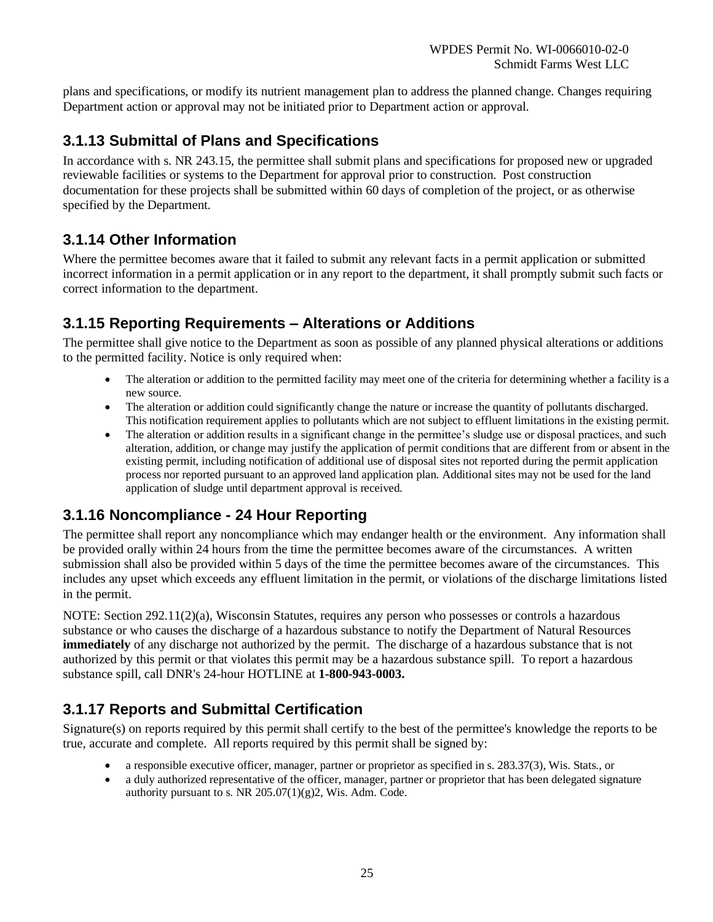plans and specifications, or modify its nutrient management plan to address the planned change. Changes requiring Department action or approval may not be initiated prior to Department action or approval.

#### **3.1.13 Submittal of Plans and Specifications**

In accordance with s. NR 243.15, the permittee shall submit plans and specifications for proposed new or upgraded reviewable facilities or systems to the Department for approval prior to construction. Post construction documentation for these projects shall be submitted within 60 days of completion of the project, or as otherwise specified by the Department.

#### **3.1.14 Other Information**

Where the permittee becomes aware that it failed to submit any relevant facts in a permit application or submitted incorrect information in a permit application or in any report to the department, it shall promptly submit such facts or correct information to the department.

#### **3.1.15 Reporting Requirements – Alterations or Additions**

The permittee shall give notice to the Department as soon as possible of any planned physical alterations or additions to the permitted facility. Notice is only required when:

- The alteration or addition to the permitted facility may meet one of the criteria for determining whether a facility is a new source.
- The alteration or addition could significantly change the nature or increase the quantity of pollutants discharged. This notification requirement applies to pollutants which are not subject to effluent limitations in the existing permit.
- The alteration or addition results in a significant change in the permittee's sludge use or disposal practices, and such alteration, addition, or change may justify the application of permit conditions that are different from or absent in the existing permit, including notification of additional use of disposal sites not reported during the permit application process nor reported pursuant to an approved land application plan. Additional sites may not be used for the land application of sludge until department approval is received.

### **3.1.16 Noncompliance - 24 Hour Reporting**

The permittee shall report any noncompliance which may endanger health or the environment. Any information shall be provided orally within 24 hours from the time the permittee becomes aware of the circumstances. A written submission shall also be provided within 5 days of the time the permittee becomes aware of the circumstances. This includes any upset which exceeds any effluent limitation in the permit, or violations of the discharge limitations listed in the permit.

NOTE: Section 292.11(2)(a), Wisconsin Statutes, requires any person who possesses or controls a hazardous substance or who causes the discharge of a hazardous substance to notify the Department of Natural Resources **immediately** of any discharge not authorized by the permit. The discharge of a hazardous substance that is not authorized by this permit or that violates this permit may be a hazardous substance spill. To report a hazardous substance spill, call DNR's 24-hour HOTLINE at **1-800-943-0003.**

### **3.1.17 Reports and Submittal Certification**

Signature(s) on reports required by this permit shall certify to the best of the permittee's knowledge the reports to be true, accurate and complete. All reports required by this permit shall be signed by:

- a responsible executive officer, manager, partner or proprietor as specified in s. 283.37(3), Wis. Stats., or
- a duly authorized representative of the officer, manager, partner or proprietor that has been delegated signature authority pursuant to s. NR  $205.07(1)(g)2$ , Wis. Adm. Code.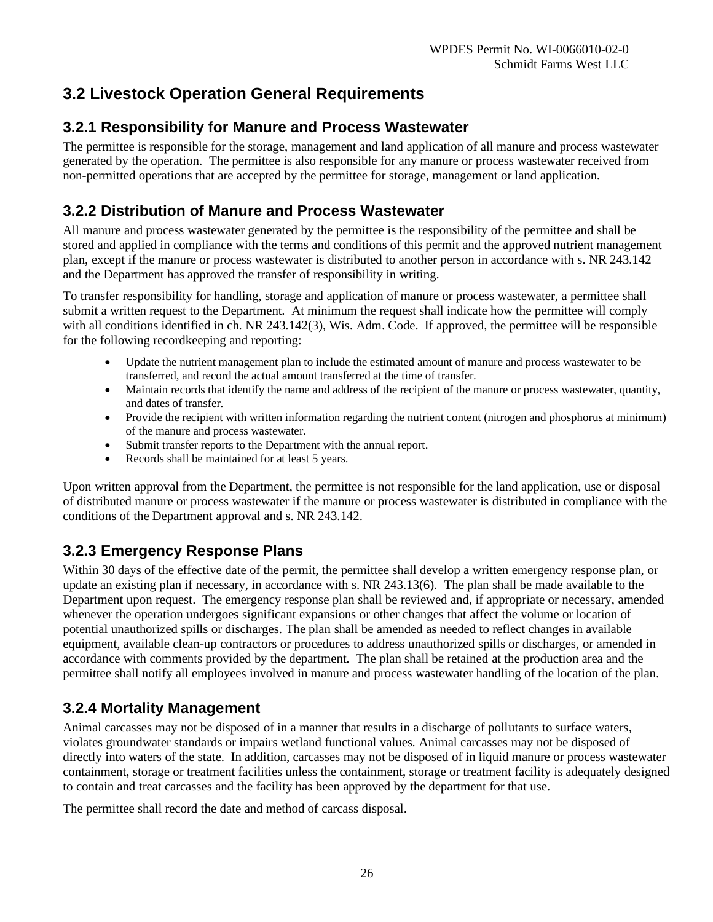### **3.2 Livestock Operation General Requirements**

### **3.2.1 Responsibility for Manure and Process Wastewater**

The permittee is responsible for the storage, management and land application of all manure and process wastewater generated by the operation. The permittee is also responsible for any manure or process wastewater received from non-permitted operations that are accepted by the permittee for storage, management or land application.

### **3.2.2 Distribution of Manure and Process Wastewater**

All manure and process wastewater generated by the permittee is the responsibility of the permittee and shall be stored and applied in compliance with the terms and conditions of this permit and the approved nutrient management plan, except if the manure or process wastewater is distributed to another person in accordance with s. NR 243.142 and the Department has approved the transfer of responsibility in writing.

To transfer responsibility for handling, storage and application of manure or process wastewater, a permittee shall submit a written request to the Department. At minimum the request shall indicate how the permittee will comply with all conditions identified in ch. NR 243.142(3), Wis. Adm. Code. If approved, the permittee will be responsible for the following recordkeeping and reporting:

- Update the nutrient management plan to include the estimated amount of manure and process wastewater to be transferred, and record the actual amount transferred at the time of transfer.
- Maintain records that identify the name and address of the recipient of the manure or process wastewater, quantity, and dates of transfer.
- Provide the recipient with written information regarding the nutrient content (nitrogen and phosphorus at minimum) of the manure and process wastewater.
- Submit transfer reports to the Department with the annual report.
- Records shall be maintained for at least 5 years.

Upon written approval from the Department, the permittee is not responsible for the land application, use or disposal of distributed manure or process wastewater if the manure or process wastewater is distributed in compliance with the conditions of the Department approval and s. NR 243.142.

### **3.2.3 Emergency Response Plans**

Within 30 days of the effective date of the permit, the permittee shall develop a written emergency response plan, or update an existing plan if necessary, in accordance with s. NR 243.13(6). The plan shall be made available to the Department upon request. The emergency response plan shall be reviewed and, if appropriate or necessary, amended whenever the operation undergoes significant expansions or other changes that affect the volume or location of potential unauthorized spills or discharges. The plan shall be amended as needed to reflect changes in available equipment, available clean-up contractors or procedures to address unauthorized spills or discharges, or amended in accordance with comments provided by the department. The plan shall be retained at the production area and the permittee shall notify all employees involved in manure and process wastewater handling of the location of the plan.

### **3.2.4 Mortality Management**

Animal carcasses may not be disposed of in a manner that results in a discharge of pollutants to surface waters, violates groundwater standards or impairs wetland functional values. Animal carcasses may not be disposed of directly into waters of the state. In addition, carcasses may not be disposed of in liquid manure or process wastewater containment, storage or treatment facilities unless the containment, storage or treatment facility is adequately designed to contain and treat carcasses and the facility has been approved by the department for that use.

The permittee shall record the date and method of carcass disposal.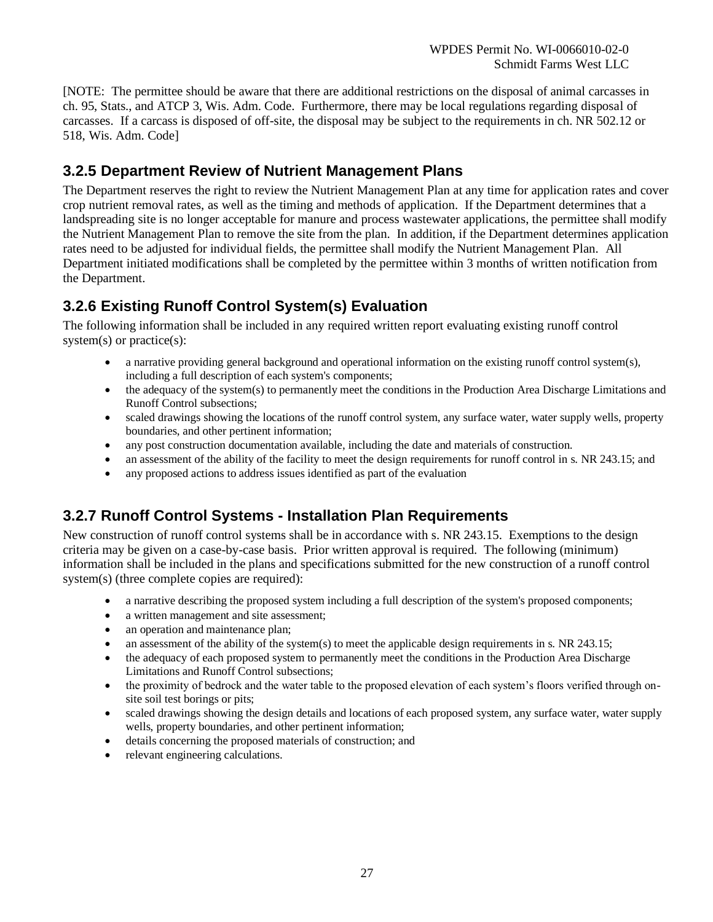[NOTE: The permittee should be aware that there are additional restrictions on the disposal of animal carcasses in ch. 95, Stats., and ATCP 3, Wis. Adm. Code. Furthermore, there may be local regulations regarding disposal of carcasses. If a carcass is disposed of off-site, the disposal may be subject to the requirements in ch. NR 502.12 or 518, Wis. Adm. Code]

### **3.2.5 Department Review of Nutrient Management Plans**

The Department reserves the right to review the Nutrient Management Plan at any time for application rates and cover crop nutrient removal rates, as well as the timing and methods of application. If the Department determines that a landspreading site is no longer acceptable for manure and process wastewater applications, the permittee shall modify the Nutrient Management Plan to remove the site from the plan. In addition, if the Department determines application rates need to be adjusted for individual fields, the permittee shall modify the Nutrient Management Plan. All Department initiated modifications shall be completed by the permittee within 3 months of written notification from the Department.

### **3.2.6 Existing Runoff Control System(s) Evaluation**

The following information shall be included in any required written report evaluating existing runoff control system(s) or practice(s):

- a narrative providing general background and operational information on the existing runoff control system(s), including a full description of each system's components;
- the adequacy of the system(s) to permanently meet the conditions in the Production Area Discharge Limitations and Runoff Control subsections;
- scaled drawings showing the locations of the runoff control system, any surface water, water supply wells, property boundaries, and other pertinent information;
- any post construction documentation available, including the date and materials of construction.
- an assessment of the ability of the facility to meet the design requirements for runoff control in s. NR 243.15; and
- any proposed actions to address issues identified as part of the evaluation

### **3.2.7 Runoff Control Systems - Installation Plan Requirements**

New construction of runoff control systems shall be in accordance with s. NR 243.15. Exemptions to the design criteria may be given on a case-by-case basis. Prior written approval is required. The following (minimum) information shall be included in the plans and specifications submitted for the new construction of a runoff control system(s) (three complete copies are required):

- a narrative describing the proposed system including a full description of the system's proposed components;
- a written management and site assessment;
- an operation and maintenance plan;
- an assessment of the ability of the system(s) to meet the applicable design requirements in s. NR 243.15;
- the adequacy of each proposed system to permanently meet the conditions in the Production Area Discharge Limitations and Runoff Control subsections;
- the proximity of bedrock and the water table to the proposed elevation of each system's floors verified through onsite soil test borings or pits;
- scaled drawings showing the design details and locations of each proposed system, any surface water, water supply wells, property boundaries, and other pertinent information;
- details concerning the proposed materials of construction; and
- relevant engineering calculations.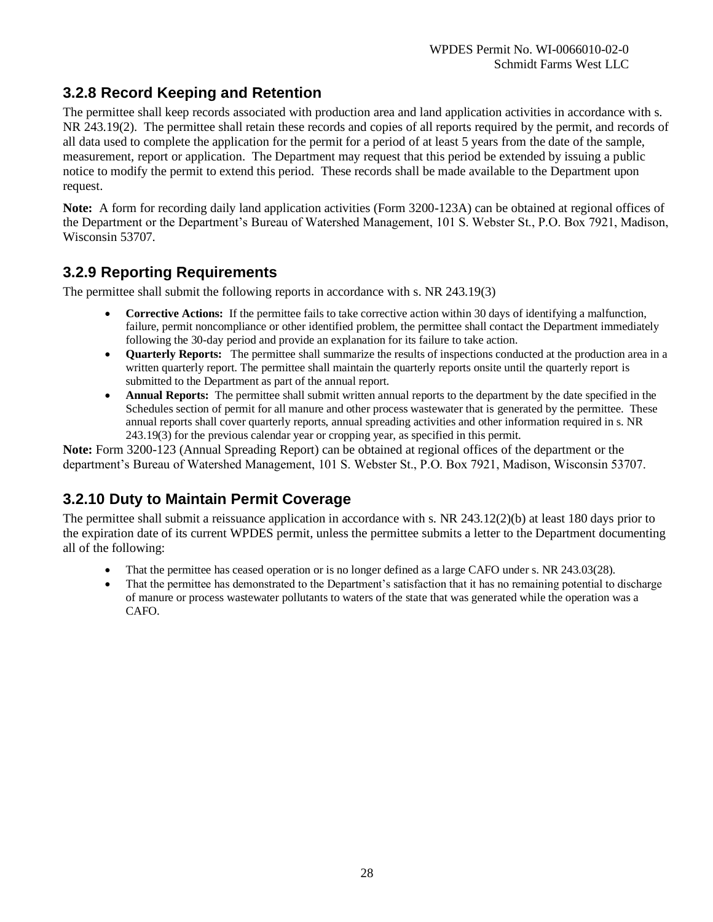### **3.2.8 Record Keeping and Retention**

The permittee shall keep records associated with production area and land application activities in accordance with s. NR 243.19(2). The permittee shall retain these records and copies of all reports required by the permit, and records of all data used to complete the application for the permit for a period of at least 5 years from the date of the sample, measurement, report or application. The Department may request that this period be extended by issuing a public notice to modify the permit to extend this period. These records shall be made available to the Department upon request.

**Note:** A form for recording daily land application activities (Form 3200-123A) can be obtained at regional offices of the Department or the Department's Bureau of Watershed Management, 101 S. Webster St., P.O. Box 7921, Madison, Wisconsin 53707.

### **3.2.9 Reporting Requirements**

The permittee shall submit the following reports in accordance with s. NR 243.19(3)

- **Corrective Actions:** If the permittee fails to take corrective action within 30 days of identifying a malfunction, failure, permit noncompliance or other identified problem, the permittee shall contact the Department immediately following the 30-day period and provide an explanation for its failure to take action.
- **Quarterly Reports:** The permittee shall summarize the results of inspections conducted at the production area in a written quarterly report. The permittee shall maintain the quarterly reports onsite until the quarterly report is submitted to the Department as part of the annual report.
- **Annual Reports:** The permittee shall submit written annual reports to the department by the date specified in the Schedules section of permit for all manure and other process wastewater that is generated by the permittee. These annual reports shall cover quarterly reports, annual spreading activities and other information required in s. NR 243.19(3) for the previous calendar year or cropping year, as specified in this permit.

**Note:** Form 3200-123 (Annual Spreading Report) can be obtained at regional offices of the department or the department's Bureau of Watershed Management, 101 S. Webster St., P.O. Box 7921, Madison, Wisconsin 53707.

### **3.2.10 Duty to Maintain Permit Coverage**

The permittee shall submit a reissuance application in accordance with s. NR 243.12(2)(b) at least 180 days prior to the expiration date of its current WPDES permit, unless the permittee submits a letter to the Department documenting all of the following:

- That the permittee has ceased operation or is no longer defined as a large CAFO under s. NR 243.03(28).
- That the permittee has demonstrated to the Department's satisfaction that it has no remaining potential to discharge of manure or process wastewater pollutants to waters of the state that was generated while the operation was a CAFO.